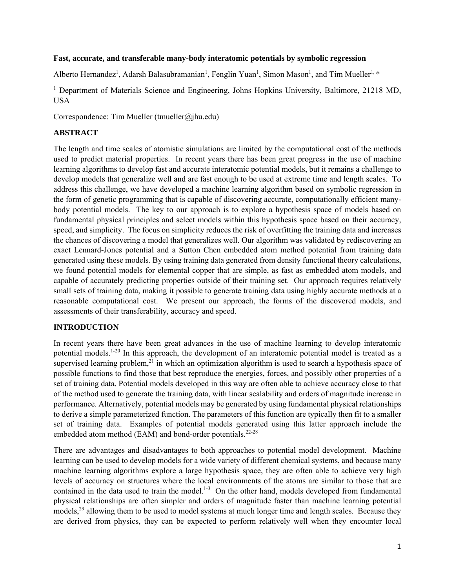#### **Fast, accurate, and transferable many-body interatomic potentials by symbolic regression**

Alberto Hernandez<sup>1</sup>, Adarsh Balasubramanian<sup>1</sup>, Fenglin Yuan<sup>1</sup>, Simon Mason<sup>1</sup>, and Tim Mueller<sup>1,\*</sup>

<sup>1</sup> Department of Materials Science and Engineering, Johns Hopkins University, Baltimore, 21218 MD, USA

Correspondence: Tim Mueller (tmueller@jhu.edu)

## **ABSTRACT**

The length and time scales of atomistic simulations are limited by the computational cost of the methods used to predict material properties. In recent years there has been great progress in the use of machine learning algorithms to develop fast and accurate interatomic potential models, but it remains a challenge to develop models that generalize well and are fast enough to be used at extreme time and length scales. To address this challenge, we have developed a machine learning algorithm based on symbolic regression in the form of genetic programming that is capable of discovering accurate, computationally efficient manybody potential models. The key to our approach is to explore a hypothesis space of models based on fundamental physical principles and select models within this hypothesis space based on their accuracy, speed, and simplicity. The focus on simplicity reduces the risk of overfitting the training data and increases the chances of discovering a model that generalizes well. Our algorithm was validated by rediscovering an exact Lennard-Jones potential and a Sutton Chen embedded atom method potential from training data generated using these models. By using training data generated from density functional theory calculations, we found potential models for elemental copper that are simple, as fast as embedded atom models, and capable of accurately predicting properties outside of their training set. Our approach requires relatively small sets of training data, making it possible to generate training data using highly accurate methods at a reasonable computational cost. We present our approach, the forms of the discovered models, and assessments of their transferability, accuracy and speed.

# **INTRODUCTION**

In recent years there have been great advances in the use of machine learning to develop interatomic potential models.<sup>1-20</sup> In this approach, the development of an interatomic potential model is treated as a supervised learning problem, $2\hat{i}$  in which an optimization algorithm is used to search a hypothesis space of possible functions to find those that best reproduce the energies, forces, and possibly other properties of a set of training data. Potential models developed in this way are often able to achieve accuracy close to that of the method used to generate the training data, with linear scalability and orders of magnitude increase in performance. Alternatively, potential models may be generated by using fundamental physical relationships to derive a simple parameterized function. The parameters of this function are typically then fit to a smaller set of training data. Examples of potential models generated using this latter approach include the embedded atom method (EAM) and bond-order potentials.<sup>22-28</sup>

There are advantages and disadvantages to both approaches to potential model development. Machine learning can be used to develop models for a wide variety of different chemical systems, and because many machine learning algorithms explore a large hypothesis space, they are often able to achieve very high levels of accuracy on structures where the local environments of the atoms are similar to those that are contained in the data used to train the model.<sup>1-3</sup> On the other hand, models developed from fundamental physical relationships are often simpler and orders of magnitude faster than machine learning potential models,<sup>29</sup> allowing them to be used to model systems at much longer time and length scales. Because they are derived from physics, they can be expected to perform relatively well when they encounter local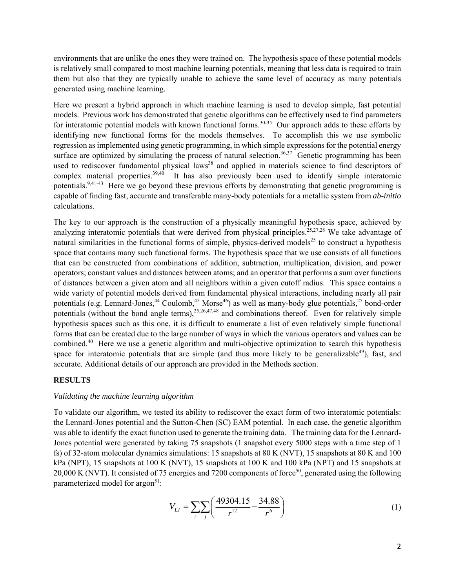environments that are unlike the ones they were trained on. The hypothesis space of these potential models is relatively small compared to most machine learning potentials, meaning that less data is required to train them but also that they are typically unable to achieve the same level of accuracy as many potentials generated using machine learning.

Here we present a hybrid approach in which machine learning is used to develop simple, fast potential models. Previous work has demonstrated that genetic algorithms can be effectively used to find parameters for interatomic potential models with known functional forms.<sup>30-35</sup> Our approach adds to these efforts by identifying new functional forms for the models themselves. To accomplish this we use symbolic regression as implemented using genetic programming, in which simple expressions for the potential energy surface are optimized by simulating the process of natural selection.<sup>36,37</sup> Genetic programming has been used to rediscover fundamental physical laws<sup>38</sup> and applied in materials science to find descriptors of complex material properties.<sup>39,40</sup> It has also previously been used to identify simple interatomic potentials.9,41-43 Here we go beyond these previous efforts by demonstrating that genetic programming is capable of finding fast, accurate and transferable many-body potentials for a metallic system from *ab-initio* calculations.

The key to our approach is the construction of a physically meaningful hypothesis space, achieved by analyzing interatomic potentials that were derived from physical principles.<sup>25,27,28</sup> We take advantage of natural similarities in the functional forms of simple, physics-derived models<sup>25</sup> to construct a hypothesis space that contains many such functional forms. The hypothesis space that we use consists of all functions that can be constructed from combinations of addition, subtraction, multiplication, division, and power operators; constant values and distances between atoms; and an operator that performs a sum over functions of distances between a given atom and all neighbors within a given cutoff radius. This space contains a wide variety of potential models derived from fundamental physical interactions, including nearly all pair potentials (e.g. Lennard-Jones,<sup>44</sup> Coulomb,<sup>45</sup> Morse<sup>46</sup>) as well as many-body glue potentials,<sup>25</sup> bond-order potentials (without the bond angle terms), $25,26,47,48$  and combinations thereof. Even for relatively simple hypothesis spaces such as this one, it is difficult to enumerate a list of even relatively simple functional forms that can be created due to the large number of ways in which the various operators and values can be combined.40 Here we use a genetic algorithm and multi-objective optimization to search this hypothesis space for interatomic potentials that are simple (and thus more likely to be generalizable<sup>49</sup>), fast, and accurate. Additional details of our approach are provided in the Methods section.

### **RESULTS**

#### *Validating the machine learning algorithm*

To validate our algorithm, we tested its ability to rediscover the exact form of two interatomic potentials: the Lennard-Jones potential and the Sutton-Chen (SC) EAM potential. In each case, the genetic algorithm was able to identify the exact function used to generate the training data. The training data for the Lennard-Jones potential were generated by taking 75 snapshots (1 snapshot every 5000 steps with a time step of 1 fs) of 32-atom molecular dynamics simulations: 15 snapshots at 80 K (NVT), 15 snapshots at 80 K and 100 kPa (NPT), 15 snapshots at 100 K (NVT), 15 snapshots at 100 K and 100 kPa (NPT) and 15 snapshots at 20,000 K (NVT). It consisted of 75 energies and 7200 components of force<sup>50</sup>, generated using the following parameterized model for argon<sup>51</sup>:

$$
V_{LJ} = \sum_{i} \sum_{j} \left( \frac{49304.15}{r^{12}} - \frac{34.88}{r^6} \right) \tag{1}
$$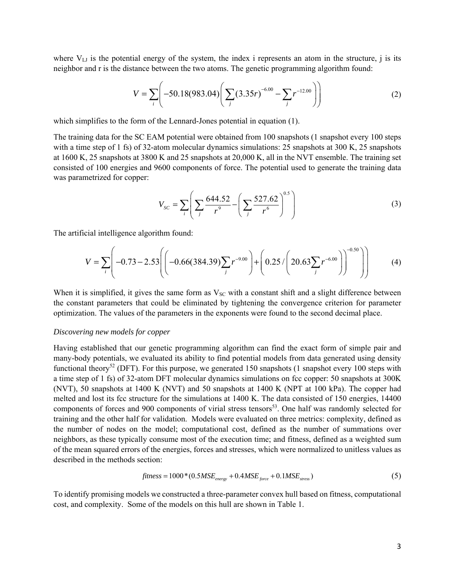where  $V_{LJ}$  is the potential energy of the system, the index i represents an atom in the structure, j is its neighbor and r is the distance between the two atoms. The genetic programming algorithm found:

$$
V = \sum_{i} \left( -50.18(983.04) \left( \sum_{j} (3.35r)^{-6.00} - \sum_{j} r^{-12.00} \right) \right)
$$
 (2)

which simplifies to the form of the Lennard-Jones potential in equation (1).

The training data for the SC EAM potential were obtained from 100 snapshots (1 snapshot every 100 steps with a time step of 1 fs) of 32-atom molecular dynamics simulations: 25 snapshots at 300 K, 25 snapshots at 1600 K, 25 snapshots at 3800 K and 25 snapshots at 20,000 K, all in the NVT ensemble. The training set consisted of 100 energies and 9600 components of force. The potential used to generate the training data was parametrized for copper:

$$
V_{SC} = \sum_{i} \left( \sum_{j} \frac{644.52}{r^9} - \left( \sum_{j} \frac{527.62}{r^6} \right)^{0.5} \right)
$$
 (3)

The artificial intelligence algorithm found:

$$
V = \sum_{i} \left( -0.73 - 2.53 \left( \left( -0.66(384.39) \sum_{j} r^{-9.00} \right) + \left( 0.25 / \left( 20.63 \sum_{j} r^{-6.00} \right) \right)^{-0.50} \right) \right) \tag{4}
$$

When it is simplified, it gives the same form as  $V_{SC}$  with a constant shift and a slight difference between the constant parameters that could be eliminated by tightening the convergence criterion for parameter optimization. The values of the parameters in the exponents were found to the second decimal place.

#### *Discovering new models for copper*

Having established that our genetic programming algorithm can find the exact form of simple pair and many-body potentials, we evaluated its ability to find potential models from data generated using density functional theory<sup>52</sup> (DFT). For this purpose, we generated 150 snapshots (1 snapshot every 100 steps with a time step of 1 fs) of 32-atom DFT molecular dynamics simulations on fcc copper: 50 snapshots at 300K (NVT), 50 snapshots at 1400 K (NVT) and 50 snapshots at 1400 K (NPT at 100 kPa). The copper had melted and lost its fcc structure for the simulations at 1400 K. The data consisted of 150 energies, 14400 components of forces and 900 components of virial stress tensors<sup>53</sup>. One half was randomly selected for training and the other half for validation. Models were evaluated on three metrics: complexity, defined as the number of nodes on the model; computational cost, defined as the number of summations over neighbors, as these typically consume most of the execution time; and fitness, defined as a weighted sum of the mean squared errors of the energies, forces and stresses, which were normalized to unitless values as described in the methods section:

$$
fitness = 1000 * (0.5MSEenergy + 0.4MSEforce + 0.1MSEstress)
$$
\n(5)

To identify promising models we constructed a three-parameter convex hull based on fitness, computational cost, and complexity. Some of the models on this hull are shown in Table 1.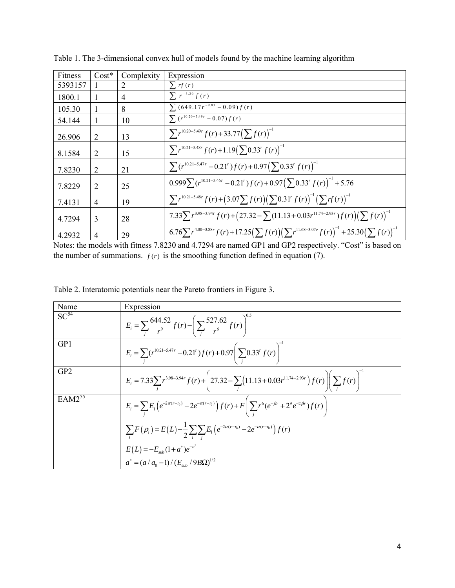| Fitness | $Cost*$ | Complexity     | Expression                                                                                                                                 |
|---------|---------|----------------|--------------------------------------------------------------------------------------------------------------------------------------------|
| 5393157 |         | $\overline{2}$ | $\sum rf(r)$                                                                                                                               |
| 1800.1  | 1       | 4              | $\sum_{r} r^{-3.20} f(r)$                                                                                                                  |
| 105.30  |         | 8              | $\sum (649.17r^{-9.83} - 0.09) f(r)$                                                                                                       |
| 54.144  | 1       | 10             | $\sum (r^{10.20-5.49r} - 0.07) f(r)$                                                                                                       |
| 26.906  | 2       | 13             | $\sum r^{10.20-5.49r} f(r) + 33.77 (\sum f(r))^{-1}$                                                                                       |
| 8.1584  | 2       | 15             | $\sum_{r=1}^{10.21-5.48r} f(r) + 1.19 \left( \sum_{r=0}^{5} 0.33^{r} f(r) \right)^{-1}$                                                    |
| 7.8230  | 2       | 21             | $\sum (r^{10.21-5.47r} - 0.21^r) f(r) + 0.97 (\sum 0.33^r f(r))^{1}$                                                                       |
| 7.8229  | 2       | 25             | $0.999\sum (r^{10.21-5.46r} - 0.21^r) f(r) + 0.97(\sum 0.33^r f(r))$ <sup>-1</sup> +5.76                                                   |
| 7.4131  | 4       | 19             | $\sum r^{10.21-5.48r} f(r) + (3.07 \sum f(r)) (\sum 0.31^r f(r))^{1} (\sum rf(r))^{1}$                                                     |
| 4.7294  | 3       | 28             | 7.33 $\sum r^{3.98-3.94r} f(r) + (27.32 - \sum (11.13 + 0.03r^{11.74-2.93r}) f(r))(\sum f(r))^{-1}$                                        |
| 4.2932  | 4       | 29             | $6.76\sum r^{4.00-3.88r} f(r) + 17.25\left(\sum f(r)\right)\left(\sum r^{11.68-3.07r} f(r)\right)^{-1} + 25.30\left(\sum f(r)\right)^{-1}$ |

Table 1. The 3-dimensional convex hull of models found by the machine learning algorithm

Notes: the models with fitness 7.8230 and 4.7294 are named GP1 and GP2 respectively. "Cost" is based on the number of summations.  $f(r)$  is the smoothing function defined in equation (7).

|  | Table 2. Interatomic potentials near the Pareto frontiers in Figure 3. |  |
|--|------------------------------------------------------------------------|--|
|  |                                                                        |  |

| Name            | Expression                                                                                                                                             |
|-----------------|--------------------------------------------------------------------------------------------------------------------------------------------------------|
| $SC^{54}$       | $E_i = \sum_i \frac{644.52}{r^9} f(r) - \left( \sum_i \frac{527.62}{r^6} f(r) \right)^{1/2}$                                                           |
| GP1             | $E_i = \sum_j (r^{10.21 - 5.47r} - 0.21^r) f(r) + 0.97 \left( \sum_j 0.33^r f(r) \right)$                                                              |
| GP <sub>2</sub> | $E_i = 7.33 \sum_i r^{3.98-3.94r} f(r) + \left(27.32 - \sum_i (11.13 + 0.03r^{11.74-2.93r}) f(r) \right) \left(\sum_i f(r)\right)$                     |
| $EAM2^{55}$     | $E_i = \sum_j E_1 \left( e^{-2\alpha(r-r_0)} - 2e^{-\alpha(r-r_0)} \right) f(r) + F \left( \sum_i r^6 (e^{-\beta r} + 2^9 e^{-2\beta r}) f(r) \right)$ |
|                 | $\sum_i F(\bar{\rho}_i) = E(L) - \frac{1}{2} \sum_i \sum_i E_i \left( e^{-2\alpha(r-r_0)} - 2e^{-\alpha(r-r_0)} \right) f(r)$                          |
|                 | $E(L) = -E_{sub}(1+a^*)e^{-a}$                                                                                                                         |
|                 | $a^* = (a/a_0-1)/(E_{sub}/9B\Omega)^{1/2}$                                                                                                             |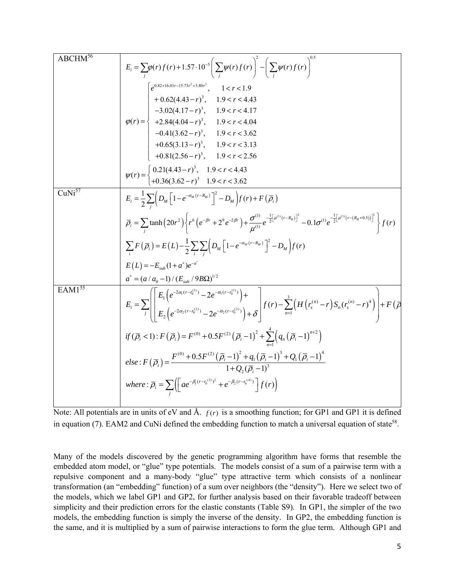ABCHM<sup>56</sup>  
\n
$$
E_{i} = \sum_{j} \varphi(r) f(r) + 1.57 \cdot 10^{-5} \left( \sum_{j} \psi(r) f(r) \right)^{2} - \left( \sum_{j} \psi(r) f(r) \right)^{6.5}
$$
\n
$$
= \begin{cases}\n e^{0.82 + 16.01 r - 15.73 r^{2} + 3.80 r^{3}}, & 1 < r < 1.9 \\
+ 0.62(4.3 - r)^{3}, & 1.9 < r < 4.13 \\
- 3.02(4.17 - r)^{3}, & 1.9 < r < 4.17 \\
+ 2.84(4.04 - r)^{7}, & 1.9 < r < 4.04 \\
- 0.41(3.6c) - r)^{3}, & 1.9 < r < 3.13 \\
+ 0.65(3.13 - r)^{3}, & 1.9 < r < 3.13 \\
+ 0.81(2.56 - r)^{3}, & 1.9 < r < 4.43 \\
+ 0.36(3.62 - r)^{3}, & 1.9 < r < 4.43\n\end{cases}
$$
\nCuNi<sup>57</sup>  
\n
$$
E_{i} = \frac{1}{2} \sum_{j} \left( D_{M} \left[ 1 - e^{-\alpha_{M}(r - R_{M})} \right]^{2} - D_{M} \right) f(r) + F(\bar{p}_{i})
$$
\n
$$
\bar{\rho}_{i} = \sum_{j} \tanh(20r^{2}) \left\{ r^{6} \left( e^{-\beta r} + 2^{\rho} e^{-2\beta r} \right) + \frac{\sigma^{(i)}}{\mu^{(i)}} e^{-\frac{1}{2} [\mu^{(i)}(r - R_{M})^{3}]} - 0.1 \sigma^{(1)} e^{-\frac{1}{2} [\mu^{(i)}(r - (R_{M} + 0.5))]} \right\} f(r) \right\}
$$
\n
$$
\sum_{i} f(\bar{\rho}_{i}) = E(L) - \frac{1}{2} \sum_{j} \int_{j}^{r} \left( D_{M} \left[ 1 - e^{-\alpha_{M}(r - R_{M})} \right]^{2} - D_{M} \right) f(r)
$$
\n
$$
E(L) = -E_{m,0}(1 + \alpha^{2}) e^{-\alpha^{2}} \right)
$$
\n

Note: All potentials are in units of eV and Å.  $f(r)$  is a smoothing function; for GP1 and GP1 it is defined in equation (7). EAM2 and CuNi defined the embedding function to match a universal equation of state<sup>58</sup>.

Many of the models discovered by the genetic programming algorithm have forms that resemble the embedded atom model, or "glue" type potentials. The models consist of a sum of a pairwise term with a repulsive component and a many-body "glue" type attractive term which consists of a nonlinear transformation (an "embedding" function) of a sum over neighbors (the "density"). Here we select two of the models, which we label GP1 and GP2, for further analysis based on their favorable tradeoff between simplicity and their prediction errors for the elastic constants (Table S9). In GP1, the simpler of the two models, the embedding function is simply the inverse of the density. In GP2, the embedding function is the same, and it is multiplied by a sum of pairwise interactions to form the glue term. Although GP1 and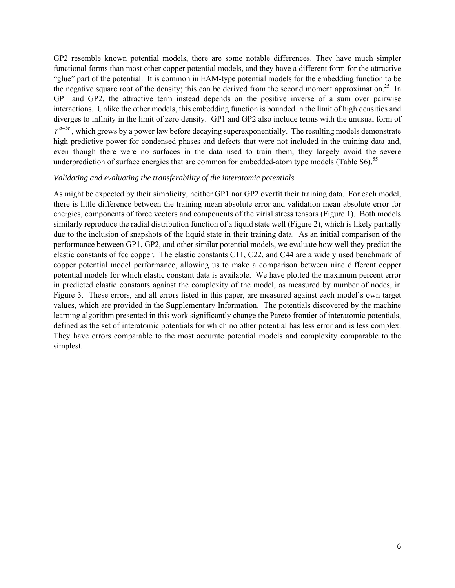GP2 resemble known potential models, there are some notable differences. They have much simpler functional forms than most other copper potential models, and they have a different form for the attractive "glue" part of the potential. It is common in EAM-type potential models for the embedding function to be the negative square root of the density; this can be derived from the second moment approximation.<sup>25</sup> In GP1 and GP2, the attractive term instead depends on the positive inverse of a sum over pairwise interactions. Unlike the other models, this embedding function is bounded in the limit of high densities and diverges to infinity in the limit of zero density. GP1 and GP2 also include terms with the unusual form of  $r^{a-br}$ , which grows by a power law before decaying superexponentially. The resulting models demonstrate high predictive power for condensed phases and defects that were not included in the training data and, even though there were no surfaces in the data used to train them, they largely avoid the severe underprediction of surface energies that are common for embedded-atom type models (Table S6).<sup>55</sup>

#### *Validating and evaluating the transferability of the interatomic potentials*

As might be expected by their simplicity, neither GP1 nor GP2 overfit their training data. For each model, there is little difference between the training mean absolute error and validation mean absolute error for energies, components of force vectors and components of the virial stress tensors (Figure 1). Both models similarly reproduce the radial distribution function of a liquid state well (Figure 2), which is likely partially due to the inclusion of snapshots of the liquid state in their training data. As an initial comparison of the performance between GP1, GP2, and other similar potential models, we evaluate how well they predict the elastic constants of fcc copper. The elastic constants C11, C22, and C44 are a widely used benchmark of copper potential model performance, allowing us to make a comparison between nine different copper potential models for which elastic constant data is available. We have plotted the maximum percent error in predicted elastic constants against the complexity of the model, as measured by number of nodes, in Figure 3. These errors, and all errors listed in this paper, are measured against each model's own target values, which are provided in the Supplementary Information. The potentials discovered by the machine learning algorithm presented in this work significantly change the Pareto frontier of interatomic potentials, defined as the set of interatomic potentials for which no other potential has less error and is less complex. They have errors comparable to the most accurate potential models and complexity comparable to the simplest.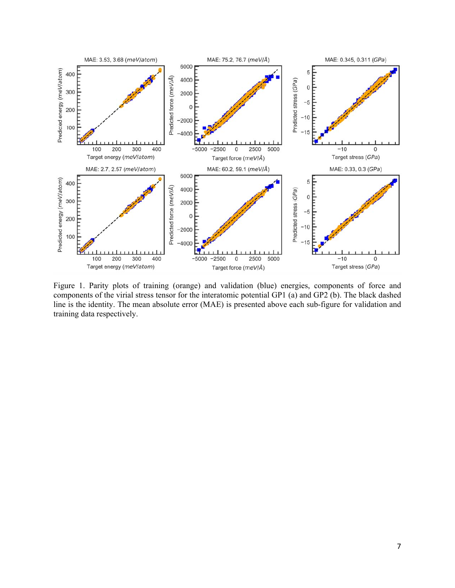

Figure 1. Parity plots of training (orange) and validation (blue) energies, components of force and components of the virial stress tensor for the interatomic potential GP1 (a) and GP2 (b). The black dashed line is the identity. The mean absolute error (MAE) is presented above each sub-figure for validation and training data respectively.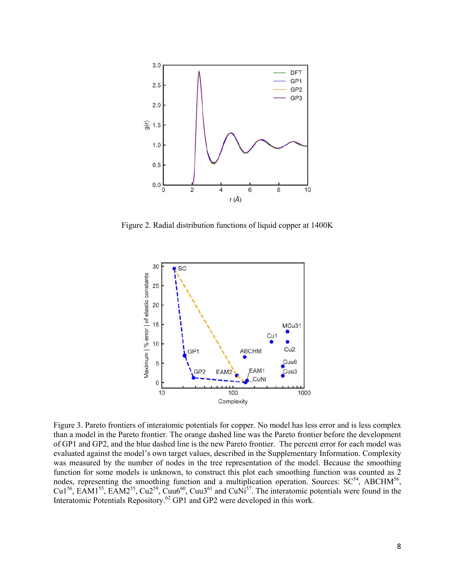

Figure 2. Radial distribution functions of liquid copper at 1400K



Figure 3. Pareto frontiers of interatomic potentials for copper. No model has less error and is less complex than a model in the Pareto frontier. The orange dashed line was the Pareto frontier before the development of GP1 and GP2, and the blue dashed line is the new Pareto frontier. The percent error for each model was evaluated against the model's own target values, described in the Supplementary Information. Complexity was measured by the number of nodes in the tree representation of the model. Because the smoothing function for some models is unknown, to construct this plot each smoothing function was counted as 2 nodes, representing the smoothing function and a multiplication operation. Sources:  $SC^{54}$ , ABCHM<sup>56</sup>,  $Cu1^{56}$ , EAM1<sup>55</sup>, EAM2<sup>55</sup>, Cu2<sup>59</sup>, Cuu6<sup>60</sup>, Cuu3<sup>61</sup> and CuNi<sup>57</sup>. The interatomic potentials were found in the Interatomic Potentials Repository.<sup>62</sup> GP1 and GP2 were developed in this work.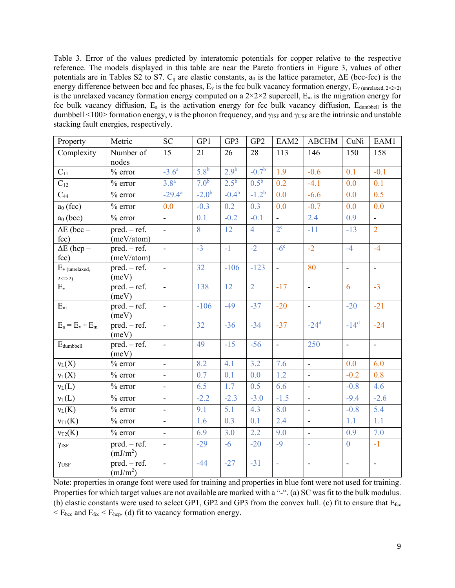Table 3. Error of the values predicted by interatomic potentials for copper relative to the respective reference. The models displayed in this table are near the Pareto frontiers in Figure 3, values of other potentials are in Tables S2 to S7.  $C_{ij}$  are elastic constants,  $a_0$  is the lattice parameter,  $\Delta E$  (bcc-fcc) is the energy difference between bcc and fcc phases,  $E_v$  is the fcc bulk vacancy formation energy,  $E_v$  (unrelaxed, 2×2×2) is the unrelaxed vacancy formation energy computed on a  $2\times 2\times 2$  supercell, E<sub>m</sub> is the migration energy for fcc bulk vacancy diffusion, Ea is the activation energy for fcc bulk vacancy diffusion, Edumbbell is the dumbbell  $\leq 100$  formation energy, v is the phonon frequency, and  $\gamma_{\text{ISF}}$  and  $\gamma_{\text{USF}}$  are the intrinsic and unstable stacking fault energies, respectively.

| Property                                 | Metric                                 | <b>SC</b>                    | GP1              | GP3              | GP <sub>2</sub> | EAM2          | <b>ABCHM</b>             | CuNi                     | EAM1                     |
|------------------------------------------|----------------------------------------|------------------------------|------------------|------------------|-----------------|---------------|--------------------------|--------------------------|--------------------------|
| Complexity                               | Number of                              | 15                           | 21               | 26               | 28              | 113           | 146                      | 150                      | 158                      |
|                                          | nodes                                  |                              |                  |                  |                 |               |                          |                          |                          |
| $C_{11}$                                 | $%$ error                              | $-3.6^a$                     | 5.8 <sup>b</sup> | 2.9 <sup>b</sup> | $-0.7^{b}$      | 1.9           | $-0.6$                   | 0.1                      | $-0.1$                   |
| $C_{12}$                                 | $%$ error                              | 3.8 <sup>a</sup>             | 7.0 <sup>b</sup> | $2.5^{b}$        | $0.5^{\rm b}$   | 0.2           | $-4.1$                   | 0.0                      | 0.1                      |
| $C_{44}$                                 | $%$ error                              | $-29.4^{\circ}$              | $-2.0^{b}$       | $-0.4^{b}$       | $-1.2^{b}$      | 0.0           | $-6.6$                   | 0.0                      | 0.5                      |
| $a_0$ (fcc)                              | $%$ error                              | 0.0                          | $-0.3$           | 0.2              | 0.3             | 0.0           | $-0.7$                   | 0.0                      | 0.0                      |
| $a_0$ (bcc)                              | $%$ error                              | $\blacksquare$               | 0.1              | $-0.2$           | $-0.1$          | $\Box$        | 2.4                      | 0.9                      | $\Box$                   |
| $\Delta E$ (bcc –<br>fcc)                | $pred. - ref.$<br>(meV/atom)           | ä,                           | 8                | 12               | $\overline{4}$  | $2^{\circ}$   | $-11$                    | $-13$                    | $\overline{2}$           |
| $\Delta E$ (hcp –<br>fcc)                | $pred. - ref.$<br>(meV/atom)           | $\blacksquare$               | $-3$             | $-1$             | $-2$            | $-6^\circ$    | $-2$                     | $-4$                     | $-4$                     |
| $E_{v}$ (unrelaxed,<br>$2\times2\times2$ | $pred. - ref.$<br>(meV)                | $\qquad \qquad \blacksquare$ | 32               | $-106$           | $-123$          | $\frac{1}{2}$ | 80                       | $\overline{\phantom{a}}$ | $\blacksquare$           |
| $E_v$                                    | $pred. - ref.$<br>(meV)                | ä,                           | 138              | 12               | $\overline{2}$  | $-17$         | $\blacksquare$           | 6                        | $-3$                     |
| $\rm E_m$                                | $pred. - ref.$<br>(meV)                | $\overline{\phantom{a}}$     | $-106$           | $-49$            | $-37$           | $-20$         | $\equiv$                 | $-20$                    | $-21$                    |
| $E_a = E_v + E_m$                        | $pred. - ref.$<br>(meV)                | $\blacksquare$               | 32               | $-36$            | $-34$           | $-37$         | $-24$ <sup>d</sup>       | $-14^d$                  | $-24$                    |
| $E_{\text{dumbbell}}$                    | $pred. - ref.$<br>(meV)                | $\blacksquare$               | 49               | $-15$            | $-56$           | $\Box$        | 250                      | $\blacksquare$           | $\Box$                   |
| $v_L(X)$                                 | $%$ error                              | $\overline{a}$               | 8.2              | 4.1              | 3.2             | 7.6           | $\overline{a}$           | 0.0                      | 6.0                      |
| $v_T(X)$                                 | $%$ error                              | $\blacksquare$               | 0.7              | 0.1              | 0.0             | 1.2           | $\Box$                   | $-0.2$                   | 0.8                      |
| $v_L(L)$                                 | $%$ error                              |                              | 6.5              | 1.7              | 0.5             | 6.6           | $\overline{a}$           | $-0.8$                   | 4.6                      |
| $v_T(L)$                                 | $%$ error                              | $\blacksquare$               | $-2.2$           | $-2.3$           | $-3.0$          | $-1.5$        | $\overline{\phantom{a}}$ | $-9.4$                   | $-2.6$                   |
| $v_L(K)$                                 | $%$ error                              | $\overline{a}$               | 9.1              | 5.1              | 4.3             | 8.0           | $\blacksquare$           | $-0.8$                   | 5.4                      |
| $v_{T1}(K)$                              | $%$ error                              | ä,                           | 1.6              | 0.3              | 0.1             | 2.4           | $\equiv$                 | 1.1                      | 1.1                      |
| $v_{T2}(K)$                              | $%$ error                              | $\blacksquare$               | 6.9              | 3.0              | 2.2             | 9.0           | $\blacksquare$           | 0.9                      | 7.0                      |
| <b>YISF</b>                              | $pred. - ref.$<br>(mJ/m <sup>2</sup> ) | $\overline{\phantom{a}}$     | $-29$            | $-6$             | $-20$           | $-9$          | $\sim$                   | $\mathbf{0}$             | $-1$                     |
| $\gamma_{\rm USF}$                       | $pred. - ref.$<br>(mJ/m <sup>2</sup> ) | $\blacksquare$               | $-44$            | $-27$            | $-31$           | ä,            | $\blacksquare$           | $\blacksquare$           | $\overline{\phantom{a}}$ |

Note: properties in orange font were used for training and properties in blue font were not used for training. Properties for which target values are not available are marked with a "-". (a) SC was fit to the bulk modulus. (b) elastic constants were used to select GP1, GP2 and GP3 from the convex hull. (c) fit to ensure that  $E_{\text{fcc}}$  $\leq$  E<sub>bcc</sub> and E<sub>fcc</sub>  $\leq$  E<sub>hcp</sub>. (d) fit to vacancy formation energy.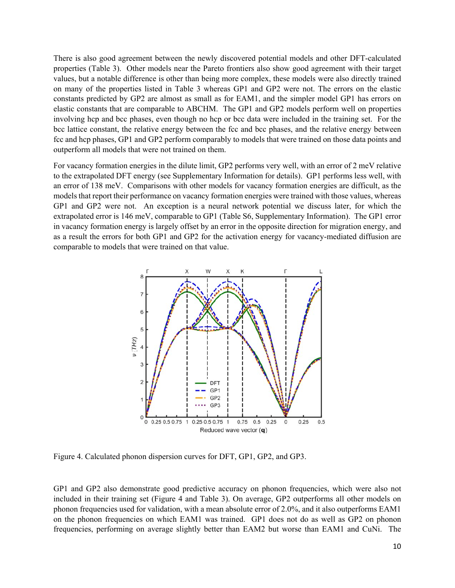There is also good agreement between the newly discovered potential models and other DFT-calculated properties (Table 3). Other models near the Pareto frontiers also show good agreement with their target values, but a notable difference is other than being more complex, these models were also directly trained on many of the properties listed in Table 3 whereas GP1 and GP2 were not. The errors on the elastic constants predicted by GP2 are almost as small as for EAM1, and the simpler model GP1 has errors on elastic constants that are comparable to ABCHM. The GP1 and GP2 models perform well on properties involving hcp and bcc phases, even though no hcp or bcc data were included in the training set. For the bcc lattice constant, the relative energy between the fcc and bcc phases, and the relative energy between fcc and hcp phases, GP1 and GP2 perform comparably to models that were trained on those data points and outperform all models that were not trained on them.

For vacancy formation energies in the dilute limit, GP2 performs very well, with an error of 2 meV relative to the extrapolated DFT energy (see Supplementary Information for details). GP1 performs less well, with an error of 138 meV. Comparisons with other models for vacancy formation energies are difficult, as the models that report their performance on vacancy formation energies were trained with those values, whereas GP1 and GP2 were not. An exception is a neural network potential we discuss later, for which the extrapolated error is 146 meV, comparable to GP1 (Table S6, Supplementary Information). The GP1 error in vacancy formation energy is largely offset by an error in the opposite direction for migration energy, and as a result the errors for both GP1 and GP2 for the activation energy for vacancy-mediated diffusion are comparable to models that were trained on that value.



Figure 4. Calculated phonon dispersion curves for DFT, GP1, GP2, and GP3.

GP1 and GP2 also demonstrate good predictive accuracy on phonon frequencies, which were also not included in their training set (Figure 4 and Table 3). On average, GP2 outperforms all other models on phonon frequencies used for validation, with a mean absolute error of 2.0%, and it also outperforms EAM1 on the phonon frequencies on which EAM1 was trained. GP1 does not do as well as GP2 on phonon frequencies, performing on average slightly better than EAM2 but worse than EAM1 and CuNi. The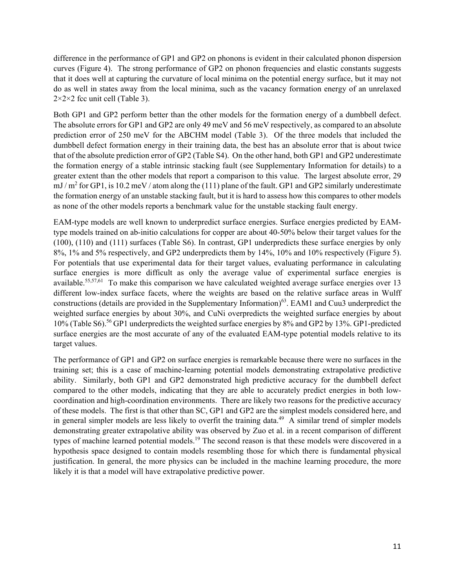difference in the performance of GP1 and GP2 on phonons is evident in their calculated phonon dispersion curves (Figure 4). The strong performance of GP2 on phonon frequencies and elastic constants suggests that it does well at capturing the curvature of local minima on the potential energy surface, but it may not do as well in states away from the local minima, such as the vacancy formation energy of an unrelaxed  $2 \times 2 \times 2$  fcc unit cell (Table 3).

Both GP1 and GP2 perform better than the other models for the formation energy of a dumbbell defect. The absolute errors for GP1 and GP2 are only 49 meV and 56 meV respectively, as compared to an absolute prediction error of 250 meV for the ABCHM model (Table 3). Of the three models that included the dumbbell defect formation energy in their training data, the best has an absolute error that is about twice that of the absolute prediction error of GP2 (Table S4). On the other hand, both GP1 and GP2 underestimate the formation energy of a stable intrinsic stacking fault (see Supplementary Information for details) to a greater extent than the other models that report a comparison to this value. The largest absolute error, 29 mJ / m<sup>2</sup> for GP1, is 10.2 meV / atom along the (111) plane of the fault. GP1 and GP2 similarly underestimate the formation energy of an unstable stacking fault, but it is hard to assess how this compares to other models as none of the other models reports a benchmark value for the unstable stacking fault energy.

EAM-type models are well known to underpredict surface energies. Surface energies predicted by EAMtype models trained on ab-initio calculations for copper are about 40-50% below their target values for the (100), (110) and (111) surfaces (Table S6). In contrast, GP1 underpredicts these surface energies by only 8%, 1% and 5% respectively, and GP2 underpredicts them by 14%, 10% and 10% respectively (Figure 5). For potentials that use experimental data for their target values, evaluating performance in calculating surface energies is more difficult as only the average value of experimental surface energies is available.55,57,61 To make this comparison we have calculated weighted average surface energies over 13 different low-index surface facets, where the weights are based on the relative surface areas in Wulff constructions (details are provided in the Supplementary Information)63. EAM1 and Cuu3 underpredict the weighted surface energies by about 30%, and CuNi overpredicts the weighted surface energies by about 10% (Table S6).56 GP1 underpredicts the weighted surface energies by 8% and GP2 by 13%. GP1-predicted surface energies are the most accurate of any of the evaluated EAM-type potential models relative to its target values.

The performance of GP1 and GP2 on surface energies is remarkable because there were no surfaces in the training set; this is a case of machine-learning potential models demonstrating extrapolative predictive ability. Similarly, both GP1 and GP2 demonstrated high predictive accuracy for the dumbbell defect compared to the other models, indicating that they are able to accurately predict energies in both lowcoordination and high-coordination environments. There are likely two reasons for the predictive accuracy of these models. The first is that other than SC, GP1 and GP2 are the simplest models considered here, and in general simpler models are less likely to overfit the training data.<sup>49</sup> A similar trend of simpler models demonstrating greater extrapolative ability was observed by Zuo et al. in a recent comparison of different types of machine learned potential models.<sup>19</sup> The second reason is that these models were discovered in a hypothesis space designed to contain models resembling those for which there is fundamental physical justification. In general, the more physics can be included in the machine learning procedure, the more likely it is that a model will have extrapolative predictive power.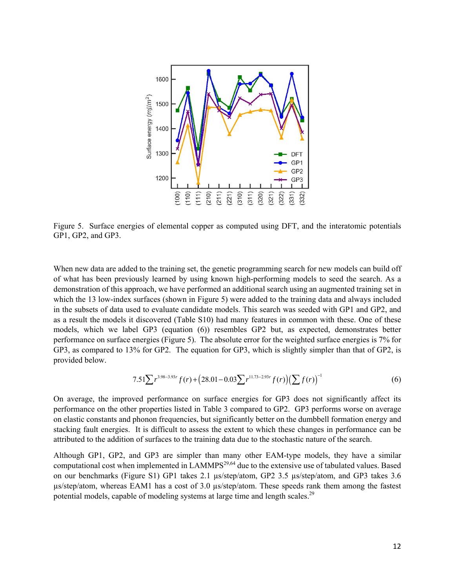

Figure 5. Surface energies of elemental copper as computed using DFT, and the interatomic potentials GP1, GP2, and GP3.

When new data are added to the training set, the genetic programming search for new models can build off of what has been previously learned by using known high-performing models to seed the search. As a demonstration of this approach, we have performed an additional search using an augmented training set in which the 13 low-index surfaces (shown in Figure 5) were added to the training data and always included in the subsets of data used to evaluate candidate models. This search was seeded with GP1 and GP2, and as a result the models it discovered (Table S10) had many features in common with these. One of these models, which we label GP3 (equation (6)) resembles GP2 but, as expected, demonstrates better performance on surface energies (Figure 5). The absolute error for the weighted surface energies is 7% for GP3, as compared to 13% for GP2. The equation for GP3, which is slightly simpler than that of GP2, is provided below.

$$
7.51\sum r^{3.98-3.93r} f(r) + (28.01 - 0.03\sum r^{11.73-2.93r} f(r)) (\sum f(r))^{1}
$$
 (6)

On average, the improved performance on surface energies for GP3 does not significantly affect its performance on the other properties listed in Table 3 compared to GP2. GP3 performs worse on average on elastic constants and phonon frequencies, but significantly better on the dumbbell formation energy and stacking fault energies. It is difficult to assess the extent to which these changes in performance can be attributed to the addition of surfaces to the training data due to the stochastic nature of the search.

Although GP1, GP2, and GP3 are simpler than many other EAM-type models, they have a similar computational cost when implemented in LAMMPS<sup>29,64</sup> due to the extensive use of tabulated values. Based on our benchmarks (Figure S1) GP1 takes 2.1 µs/step/atom, GP2 3.5 µs/step/atom, and GP3 takes 3.6 µs/step/atom, whereas EAM1 has a cost of 3.0 µs/step/atom. These speeds rank them among the fastest potential models, capable of modeling systems at large time and length scales.<sup>29</sup>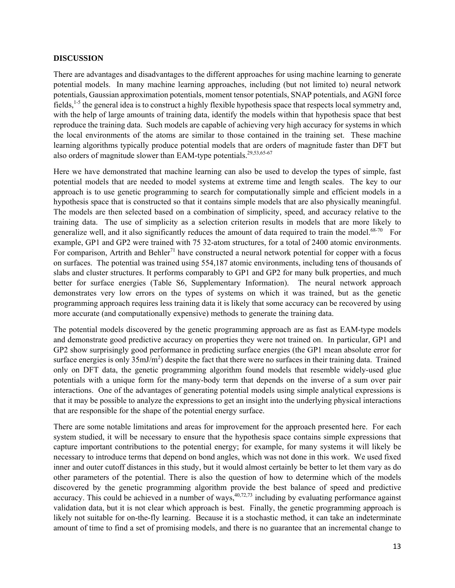#### **DISCUSSION**

There are advantages and disadvantages to the different approaches for using machine learning to generate potential models. In many machine learning approaches, including (but not limited to) neural network potentials, Gaussian approximation potentials, moment tensor potentials, SNAP potentials, and AGNI force fields,1-5 the general idea is to construct a highly flexible hypothesis space that respects local symmetry and, with the help of large amounts of training data, identify the models within that hypothesis space that best reproduce the training data. Such models are capable of achieving very high accuracy for systems in which the local environments of the atoms are similar to those contained in the training set. These machine learning algorithms typically produce potential models that are orders of magnitude faster than DFT but also orders of magnitude slower than EAM-type potentials.29,53,65-67

Here we have demonstrated that machine learning can also be used to develop the types of simple, fast potential models that are needed to model systems at extreme time and length scales. The key to our approach is to use genetic programming to search for computationally simple and efficient models in a hypothesis space that is constructed so that it contains simple models that are also physically meaningful. The models are then selected based on a combination of simplicity, speed, and accuracy relative to the training data. The use of simplicity as a selection criterion results in models that are more likely to generalize well, and it also significantly reduces the amount of data required to train the model.<sup>68-70</sup> For example, GP1 and GP2 were trained with 75 32-atom structures, for a total of 2400 atomic environments. For comparison, Artrith and Behler<sup>71</sup> have constructed a neural network potential for copper with a focus on surfaces. The potential was trained using 554,187 atomic environments, including tens of thousands of slabs and cluster structures. It performs comparably to GP1 and GP2 for many bulk properties, and much better for surface energies (Table S6, Supplementary Information). The neural network approach demonstrates very low errors on the types of systems on which it was trained, but as the genetic programming approach requires less training data it is likely that some accuracy can be recovered by using more accurate (and computationally expensive) methods to generate the training data.

The potential models discovered by the genetic programming approach are as fast as EAM-type models and demonstrate good predictive accuracy on properties they were not trained on. In particular, GP1 and GP2 show surprisingly good performance in predicting surface energies (the GP1 mean absolute error for surface energies is only  $35 \text{mJ/m}^2$ ) despite the fact that there were no surfaces in their training data. Trained only on DFT data, the genetic programming algorithm found models that resemble widely-used glue potentials with a unique form for the many-body term that depends on the inverse of a sum over pair interactions. One of the advantages of generating potential models using simple analytical expressions is that it may be possible to analyze the expressions to get an insight into the underlying physical interactions that are responsible for the shape of the potential energy surface.

There are some notable limitations and areas for improvement for the approach presented here. For each system studied, it will be necessary to ensure that the hypothesis space contains simple expressions that capture important contributions to the potential energy; for example, for many systems it will likely be necessary to introduce terms that depend on bond angles, which was not done in this work. We used fixed inner and outer cutoff distances in this study, but it would almost certainly be better to let them vary as do other parameters of the potential. There is also the question of how to determine which of the models discovered by the genetic programming algorithm provide the best balance of speed and predictive accuracy. This could be achieved in a number of ways,  $40,72,73$  including by evaluating performance against validation data, but it is not clear which approach is best. Finally, the genetic programming approach is likely not suitable for on-the-fly learning. Because it is a stochastic method, it can take an indeterminate amount of time to find a set of promising models, and there is no guarantee that an incremental change to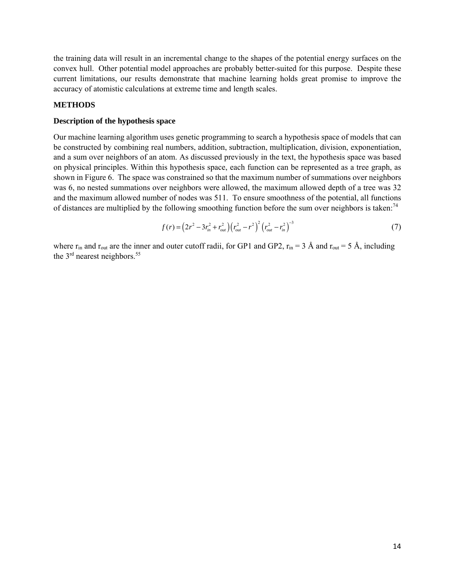the training data will result in an incremental change to the shapes of the potential energy surfaces on the convex hull. Other potential model approaches are probably better-suited for this purpose. Despite these current limitations, our results demonstrate that machine learning holds great promise to improve the accuracy of atomistic calculations at extreme time and length scales.

#### **METHODS**

#### **Description of the hypothesis space**

Our machine learning algorithm uses genetic programming to search a hypothesis space of models that can be constructed by combining real numbers, addition, subtraction, multiplication, division, exponentiation, and a sum over neighbors of an atom. As discussed previously in the text, the hypothesis space was based on physical principles. Within this hypothesis space, each function can be represented as a tree graph, as shown in Figure 6. The space was constrained so that the maximum number of summations over neighbors was 6, no nested summations over neighbors were allowed, the maximum allowed depth of a tree was 32 and the maximum allowed number of nodes was 511. To ensure smoothness of the potential, all functions of distances are multiplied by the following smoothing function before the sum over neighbors is taken:<sup>74</sup>

$$
f(r) = \left(2r^2 - 3r_{in}^2 + r_{out}^2\right)\left(r_{out}^2 - r^2\right)^2 \left(r_{out}^2 - r_{in}^2\right)^{-3}
$$
 (7)

where  $r_{in}$  and  $r_{out}$  are the inner and outer cutoff radii, for GP1 and GP2,  $r_{in} = 3$  Å and  $r_{out} = 5$  Å, including the  $3<sup>rd</sup>$  nearest neighbors.<sup>55</sup>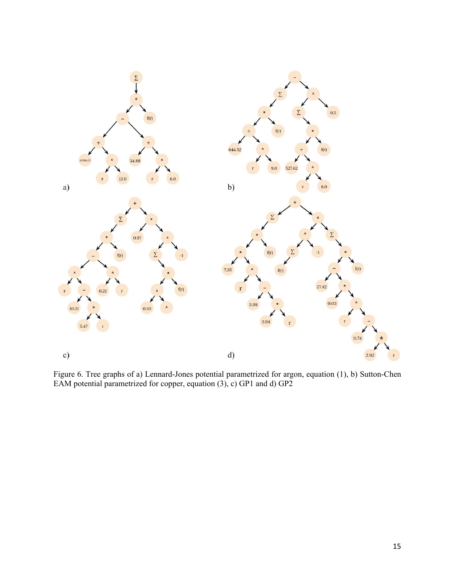

Figure 6. Tree graphs of a) Lennard-Jones potential parametrized for argon, equation (1), b) Sutton-Chen EAM potential parametrized for copper, equation (3), c) GP1 and d) GP2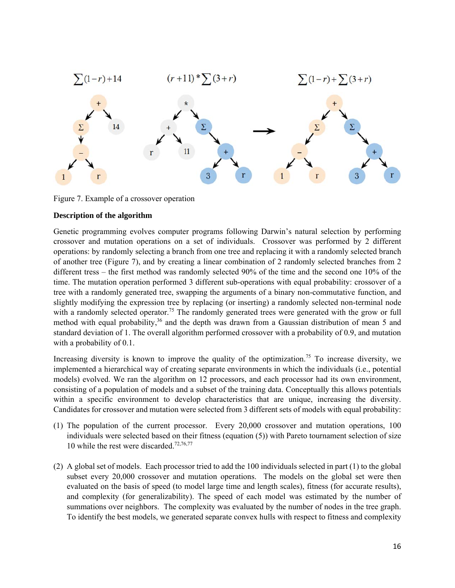

Figure 7. Example of a crossover operation

### **Description of the algorithm**

Genetic programming evolves computer programs following Darwin's natural selection by performing crossover and mutation operations on a set of individuals. Crossover was performed by 2 different operations: by randomly selecting a branch from one tree and replacing it with a randomly selected branch of another tree (Figure 7), and by creating a linear combination of 2 randomly selected branches from 2 different tress – the first method was randomly selected 90% of the time and the second one 10% of the time. The mutation operation performed 3 different sub-operations with equal probability: crossover of a tree with a randomly generated tree, swapping the arguments of a binary non-commutative function, and slightly modifying the expression tree by replacing (or inserting) a randomly selected non-terminal node with a randomly selected operator.<sup>75</sup> The randomly generated trees were generated with the grow or full method with equal probability,<sup>36</sup> and the depth was drawn from a Gaussian distribution of mean 5 and standard deviation of 1. The overall algorithm performed crossover with a probability of 0.9, and mutation with a probability of 0.1.

Increasing diversity is known to improve the quality of the optimization.<sup>75</sup> To increase diversity, we implemented a hierarchical way of creating separate environments in which the individuals (i.e., potential models) evolved. We ran the algorithm on 12 processors, and each processor had its own environment, consisting of a population of models and a subset of the training data. Conceptually this allows potentials within a specific environment to develop characteristics that are unique, increasing the diversity. Candidates for crossover and mutation were selected from 3 different sets of models with equal probability:

- (1) The population of the current processor. Every 20,000 crossover and mutation operations, 100 individuals were selected based on their fitness (equation (5)) with Pareto tournament selection of size 10 while the rest were discarded.<sup>72,76,77</sup>
- (2) A global set of models. Each processor tried to add the 100 individuals selected in part (1) to the global subset every 20,000 crossover and mutation operations. The models on the global set were then evaluated on the basis of speed (to model large time and length scales), fitness (for accurate results), and complexity (for generalizability). The speed of each model was estimated by the number of summations over neighbors. The complexity was evaluated by the number of nodes in the tree graph. To identify the best models, we generated separate convex hulls with respect to fitness and complexity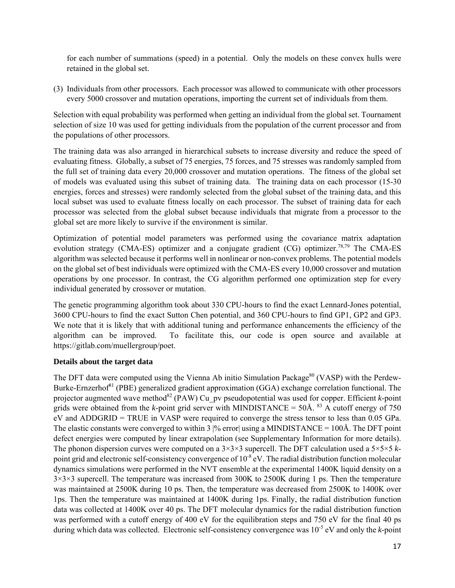for each number of summations (speed) in a potential. Only the models on these convex hulls were retained in the global set.

(3) Individuals from other processors. Each processor was allowed to communicate with other processors every 5000 crossover and mutation operations, importing the current set of individuals from them.

Selection with equal probability was performed when getting an individual from the global set. Tournament selection of size 10 was used for getting individuals from the population of the current processor and from the populations of other processors.

The training data was also arranged in hierarchical subsets to increase diversity and reduce the speed of evaluating fitness. Globally, a subset of 75 energies, 75 forces, and 75 stresses was randomly sampled from the full set of training data every 20,000 crossover and mutation operations. The fitness of the global set of models was evaluated using this subset of training data. The training data on each processor (15-30 energies, forces and stresses) were randomly selected from the global subset of the training data, and this local subset was used to evaluate fitness locally on each processor. The subset of training data for each processor was selected from the global subset because individuals that migrate from a processor to the global set are more likely to survive if the environment is similar.

Optimization of potential model parameters was performed using the covariance matrix adaptation evolution strategy (CMA-ES) optimizer and a conjugate gradient (CG) optimizer.<sup>78,79</sup> The CMA-ES algorithm was selected because it performs well in nonlinear or non-convex problems. The potential models on the global set of best individuals were optimized with the CMA-ES every 10,000 crossover and mutation operations by one processor. In contrast, the CG algorithm performed one optimization step for every individual generated by crossover or mutation.

The genetic programming algorithm took about 330 CPU-hours to find the exact Lennard-Jones potential, 3600 CPU-hours to find the exact Sutton Chen potential, and 360 CPU-hours to find GP1, GP2 and GP3. We note that it is likely that with additional tuning and performance enhancements the efficiency of the algorithm can be improved. To facilitate this, our code is open source and available at https://gitlab.com/muellergroup/poet.

# **Details about the target data**

The DFT data were computed using the Vienna Ab initio Simulation Package<sup>80</sup> (VASP) with the Perdew-Burke-Ernzerhof<sup>81</sup> (PBE) generalized gradient approximation (GGA) exchange correlation functional. The projector augmented wave method<sup>82</sup> (PAW) Cu pv pseudopotential was used for copper. Efficient  $k$ -point grids were obtained from the *k*-point grid server with MINDISTANCE =  $50\text{\AA}$ . <sup>83</sup> A cutoff energy of 750 eV and ADDGRID = TRUE in VASP were required to converge the stress tensor to less than 0.05 GPa. The elastic constants were converged to within  $3\frac{1}{6}$  error using a MINDISTANCE = 100Å. The DFT point defect energies were computed by linear extrapolation (see Supplementary Information for more details). The phonon dispersion curves were computed on a  $3\times3\times3$  supercell. The DFT calculation used a  $5\times5\times5$  *k*point grid and electronic self-consistency convergence of  $10^{-8}$  eV. The radial distribution function molecular dynamics simulations were performed in the NVT ensemble at the experimental 1400K liquid density on a 3×3×3 supercell. The temperature was increased from 300K to 2500K during 1 ps. Then the temperature was maintained at 2500K during 10 ps. Then, the temperature was decreased from 2500K to 1400K over 1ps. Then the temperature was maintained at 1400K during 1ps. Finally, the radial distribution function data was collected at 1400K over 40 ps. The DFT molecular dynamics for the radial distribution function was performed with a cutoff energy of 400 eV for the equilibration steps and 750 eV for the final 40 ps during which data was collected. Electronic self-consistency convergence was 10-5 eV and only the *k*-point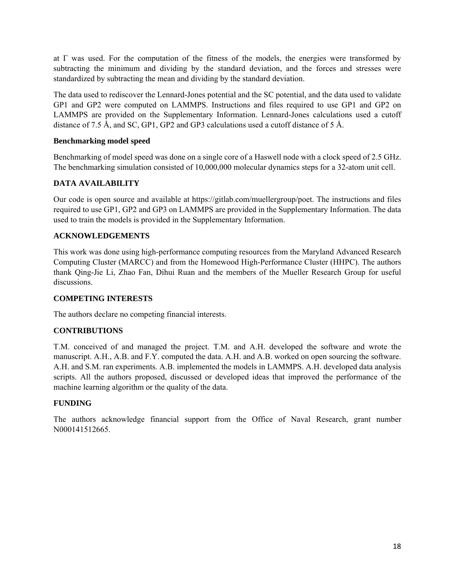at  $\Gamma$  was used. For the computation of the fitness of the models, the energies were transformed by subtracting the minimum and dividing by the standard deviation, and the forces and stresses were standardized by subtracting the mean and dividing by the standard deviation.

The data used to rediscover the Lennard-Jones potential and the SC potential, and the data used to validate GP1 and GP2 were computed on LAMMPS. Instructions and files required to use GP1 and GP2 on LAMMPS are provided on the Supplementary Information. Lennard-Jones calculations used a cutoff distance of 7.5 Å, and SC, GP1, GP2 and GP3 calculations used a cutoff distance of 5 Å.

# **Benchmarking model speed**

Benchmarking of model speed was done on a single core of a Haswell node with a clock speed of 2.5 GHz. The benchmarking simulation consisted of 10,000,000 molecular dynamics steps for a 32-atom unit cell.

# **DATA AVAILABILITY**

Our code is open source and available at https://gitlab.com/muellergroup/poet. The instructions and files required to use GP1, GP2 and GP3 on LAMMPS are provided in the Supplementary Information. The data used to train the models is provided in the Supplementary Information.

# **ACKNOWLEDGEMENTS**

This work was done using high-performance computing resources from the Maryland Advanced Research Computing Cluster (MARCC) and from the Homewood High-Performance Cluster (HHPC). The authors thank Qing-Jie Li, Zhao Fan, Dihui Ruan and the members of the Mueller Research Group for useful discussions.

# **COMPETING INTERESTS**

The authors declare no competing financial interests.

# **CONTRIBUTIONS**

T.M. conceived of and managed the project. T.M. and A.H. developed the software and wrote the manuscript. A.H., A.B. and F.Y. computed the data. A.H. and A.B. worked on open sourcing the software. A.H. and S.M. ran experiments. A.B. implemented the models in LAMMPS. A.H. developed data analysis scripts. All the authors proposed, discussed or developed ideas that improved the performance of the machine learning algorithm or the quality of the data.

# **FUNDING**

The authors acknowledge financial support from the Office of Naval Research, grant number N000141512665.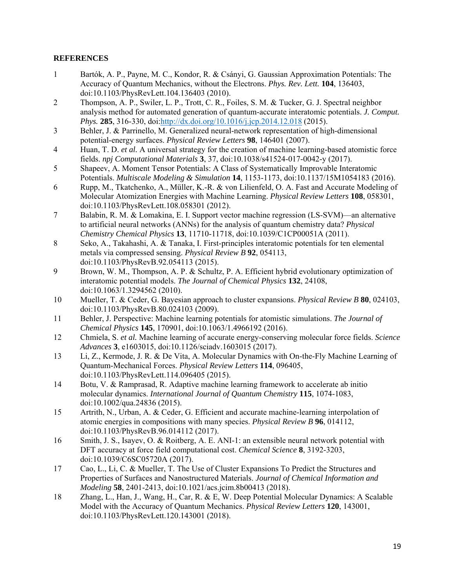## **REFERENCES**

- 1 Bartók, A. P., Payne, M. C., Kondor, R. & Csányi, G. Gaussian Approximation Potentials: The Accuracy of Quantum Mechanics, without the Electrons. *Phys. Rev. Lett.* **104**, 136403, doi:10.1103/PhysRevLett.104.136403 (2010).
- 2 Thompson, A. P., Swiler, L. P., Trott, C. R., Foiles, S. M. & Tucker, G. J. Spectral neighbor analysis method for automated generation of quantum-accurate interatomic potentials. *J. Comput. Phys.* **285**, 316-330, doi:http://dx.doi.org/10.1016/j.jcp.2014.12.018 (2015).
- 3 Behler, J. & Parrinello, M. Generalized neural-network representation of high-dimensional potential-energy surfaces. *Physical Review Letters* **98**, 146401 (2007).
- 4 Huan, T. D. *et al.* A universal strategy for the creation of machine learning-based atomistic force fields. *npj Computational Materials* **3**, 37, doi:10.1038/s41524-017-0042-y (2017).
- 5 Shapeev, A. Moment Tensor Potentials: A Class of Systematically Improvable Interatomic Potentials. *Multiscale Modeling & Simulation* **14**, 1153-1173, doi:10.1137/15M1054183 (2016).
- 6 Rupp, M., Tkatchenko, A., Müller, K.-R. & von Lilienfeld, O. A. Fast and Accurate Modeling of Molecular Atomization Energies with Machine Learning. *Physical Review Letters* **108**, 058301, doi:10.1103/PhysRevLett.108.058301 (2012).
- 7 Balabin, R. M. & Lomakina, E. I. Support vector machine regression (LS-SVM)—an alternative to artificial neural networks (ANNs) for the analysis of quantum chemistry data? *Physical Chemistry Chemical Physics* **13**, 11710-11718, doi:10.1039/C1CP00051A (2011).
- 8 Seko, A., Takahashi, A. & Tanaka, I. First-principles interatomic potentials for ten elemental metals via compressed sensing. *Physical Review B* **92**, 054113, doi:10.1103/PhysRevB.92.054113 (2015).
- 9 Brown, W. M., Thompson, A. P. & Schultz, P. A. Efficient hybrid evolutionary optimization of interatomic potential models. *The Journal of Chemical Physics* **132**, 24108, doi:10.1063/1.3294562 (2010).
- 10 Mueller, T. & Ceder, G. Bayesian approach to cluster expansions. *Physical Review B* **80**, 024103, doi:10.1103/PhysRevB.80.024103 (2009).
- 11 Behler, J. Perspective: Machine learning potentials for atomistic simulations. *The Journal of Chemical Physics* **145**, 170901, doi:10.1063/1.4966192 (2016).
- 12 Chmiela, S. *et al.* Machine learning of accurate energy-conserving molecular force fields. *Science Advances* **3**, e1603015, doi:10.1126/sciadv.1603015 (2017).
- 13 Li, Z., Kermode, J. R. & De Vita, A. Molecular Dynamics with On-the-Fly Machine Learning of Quantum-Mechanical Forces. *Physical Review Letters* **114**, 096405, doi:10.1103/PhysRevLett.114.096405 (2015).
- 14 Botu, V. & Ramprasad, R. Adaptive machine learning framework to accelerate ab initio molecular dynamics. *International Journal of Quantum Chemistry* **115**, 1074-1083, doi:10.1002/qua.24836 (2015).
- 15 Artrith, N., Urban, A. & Ceder, G. Efficient and accurate machine-learning interpolation of atomic energies in compositions with many species. *Physical Review B* **96**, 014112, doi:10.1103/PhysRevB.96.014112 (2017).
- 16 Smith, J. S., Isayev, O. & Roitberg, A. E. ANI-1: an extensible neural network potential with DFT accuracy at force field computational cost. *Chemical Science* **8**, 3192-3203, doi:10.1039/C6SC05720A (2017).
- 17 Cao, L., Li, C. & Mueller, T. The Use of Cluster Expansions To Predict the Structures and Properties of Surfaces and Nanostructured Materials. *Journal of Chemical Information and Modeling* **58**, 2401-2413, doi:10.1021/acs.jcim.8b00413 (2018).
- 18 Zhang, L., Han, J., Wang, H., Car, R. & E, W. Deep Potential Molecular Dynamics: A Scalable Model with the Accuracy of Quantum Mechanics. *Physical Review Letters* **120**, 143001, doi:10.1103/PhysRevLett.120.143001 (2018).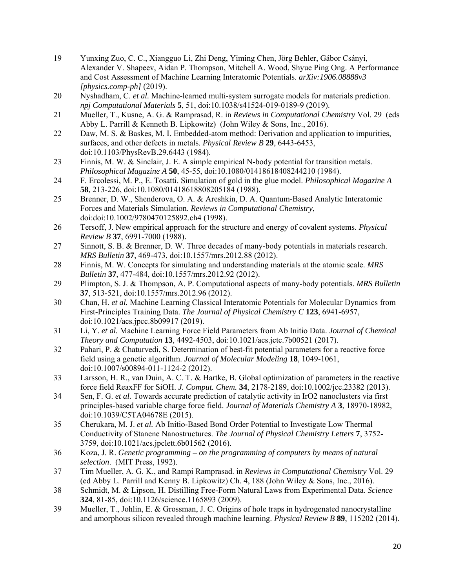- 19 Yunxing Zuo, C. C., Xiangguo Li, Zhi Deng, Yiming Chen, Jörg Behler, Gábor Csányi, Alexander V. Shapeev, Aidan P. Thompson, Mitchell A. Wood, Shyue Ping Ong. A Performance and Cost Assessment of Machine Learning Interatomic Potentials. *arXiv:1906.08888v3 [physics.comp-ph]* (2019).
- 20 Nyshadham, C. *et al.* Machine-learned multi-system surrogate models for materials prediction. *npj Computational Materials* **5**, 51, doi:10.1038/s41524-019-0189-9 (2019).
- 21 Mueller, T., Kusne, A. G. & Ramprasad, R. in *Reviews in Computational Chemistry* Vol. 29 (eds Abby L. Parrill & Kenneth B. Lipkowitz) (John Wiley & Sons, Inc., 2016).
- 22 Daw, M. S. & Baskes, M. I. Embedded-atom method: Derivation and application to impurities, surfaces, and other defects in metals. *Physical Review B* **29**, 6443-6453, doi:10.1103/PhysRevB.29.6443 (1984).
- 23 Finnis, M. W. & Sinclair, J. E. A simple empirical N-body potential for transition metals. *Philosophical Magazine A* **50**, 45-55, doi:10.1080/01418618408244210 (1984).
- 24 F. Ercolessi, M. P., E. Tosatti. Simulation of gold in the glue model. *Philosophical Magazine A* **58**, 213-226, doi:10.1080/01418618808205184 (1988).
- 25 Brenner, D. W., Shenderova, O. A. & Areshkin, D. A. Quantum-Based Analytic Interatomic Forces and Materials Simulation. *Reviews in Computational Chemistry*, doi:doi:10.1002/9780470125892.ch4 (1998).
- 26 Tersoff, J. New empirical approach for the structure and energy of covalent systems. *Physical Review B* **37**, 6991-7000 (1988).
- 27 Sinnott, S. B. & Brenner, D. W. Three decades of many-body potentials in materials research. *MRS Bulletin* **37**, 469-473, doi:10.1557/mrs.2012.88 (2012).
- 28 Finnis, M. W. Concepts for simulating and understanding materials at the atomic scale. *MRS Bulletin* **37**, 477-484, doi:10.1557/mrs.2012.92 (2012).
- 29 Plimpton, S. J. & Thompson, A. P. Computational aspects of many-body potentials. *MRS Bulletin* **37**, 513-521, doi:10.1557/mrs.2012.96 (2012).
- 30 Chan, H. *et al.* Machine Learning Classical Interatomic Potentials for Molecular Dynamics from First-Principles Training Data. *The Journal of Physical Chemistry C* **123**, 6941-6957, doi:10.1021/acs.jpcc.8b09917 (2019).
- 31 Li, Y. *et al.* Machine Learning Force Field Parameters from Ab Initio Data. *Journal of Chemical Theory and Computation* **13**, 4492-4503, doi:10.1021/acs.jctc.7b00521 (2017).
- 32 Pahari, P. & Chaturvedi, S. Determination of best-fit potential parameters for a reactive force field using a genetic algorithm. *Journal of Molecular Modeling* **18**, 1049-1061, doi:10.1007/s00894-011-1124-2 (2012).
- 33 Larsson, H. R., van Duin, A. C. T. & Hartke, B. Global optimization of parameters in the reactive force field ReaxFF for SiOH. *J. Comput. Chem.* **34**, 2178-2189, doi:10.1002/jcc.23382 (2013).
- 34 Sen, F. G. *et al.* Towards accurate prediction of catalytic activity in IrO2 nanoclusters via first principles-based variable charge force field. *Journal of Materials Chemistry A* **3**, 18970-18982, doi:10.1039/C5TA04678E (2015).
- 35 Cherukara, M. J. *et al.* Ab Initio-Based Bond Order Potential to Investigate Low Thermal Conductivity of Stanene Nanostructures. *The Journal of Physical Chemistry Letters* **7**, 3752- 3759, doi:10.1021/acs.jpclett.6b01562 (2016).
- 36 Koza, J. R. *Genetic programming on the programming of computers by means of natural selection*. (MIT Press, 1992).
- 37 Tim Mueller, A. G. K., and Rampi Ramprasad. in *Reviews in Computational Chemistry* Vol. 29 (ed Abby L. Parrill and Kenny B. Lipkowitz) Ch. 4, 188 (John Wiley & Sons, Inc., 2016).
- 38 Schmidt, M. & Lipson, H. Distilling Free-Form Natural Laws from Experimental Data. *Science* **324**, 81-85, doi:10.1126/science.1165893 (2009).
- 39 Mueller, T., Johlin, E. & Grossman, J. C. Origins of hole traps in hydrogenated nanocrystalline and amorphous silicon revealed through machine learning. *Physical Review B* **89**, 115202 (2014).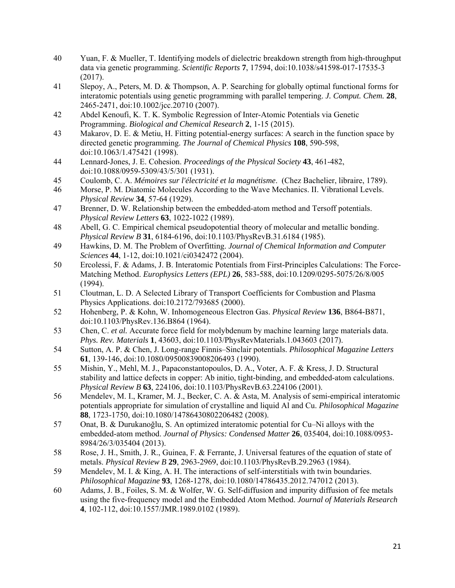- 40 Yuan, F. & Mueller, T. Identifying models of dielectric breakdown strength from high-throughput data via genetic programming. *Scientific Reports* **7**, 17594, doi:10.1038/s41598-017-17535-3 (2017).
- 41 Slepoy, A., Peters, M. D. & Thompson, A. P. Searching for globally optimal functional forms for interatomic potentials using genetic programming with parallel tempering. *J. Comput. Chem.* **28**, 2465-2471, doi:10.1002/jcc.20710 (2007).
- 42 Abdel Kenoufi, K. T. K. Symbolic Regression of Inter-Atomic Potentials via Genetic Programming. *Biological and Chemical Research* **2**, 1-15 (2015).
- 43 Makarov, D. E. & Metiu, H. Fitting potential-energy surfaces: A search in the function space by directed genetic programming. *The Journal of Chemical Physics* **108**, 590-598, doi:10.1063/1.475421 (1998).
- 44 Lennard-Jones, J. E. Cohesion. *Proceedings of the Physical Society* **43**, 461-482, doi:10.1088/0959-5309/43/5/301 (1931).
- 45 Coulomb, C. A. *Mémoires sur l'électricité et la magnétisme*. (Chez Bachelier, libraire, 1789).
- 46 Morse, P. M. Diatomic Molecules According to the Wave Mechanics. II. Vibrational Levels. *Physical Review* **34**, 57-64 (1929).
- 47 Brenner, D. W. Relationship between the embedded-atom method and Tersoff potentials. *Physical Review Letters* **63**, 1022-1022 (1989).
- 48 Abell, G. C. Empirical chemical pseudopotential theory of molecular and metallic bonding. *Physical Review B* **31**, 6184-6196, doi:10.1103/PhysRevB.31.6184 (1985).
- 49 Hawkins, D. M. The Problem of Overfitting. *Journal of Chemical Information and Computer Sciences* **44**, 1-12, doi:10.1021/ci0342472 (2004).
- 50 Ercolessi, F. & Adams, J. B. Interatomic Potentials from First-Principles Calculations: The Force-Matching Method. *Europhysics Letters (EPL)* **26**, 583-588, doi:10.1209/0295-5075/26/8/005 (1994).
- 51 Cloutman, L. D. A Selected Library of Transport Coefficients for Combustion and Plasma Physics Applications. doi:10.2172/793685 (2000).
- 52 Hohenberg, P. & Kohn, W. Inhomogeneous Electron Gas. *Physical Review* **136**, B864-B871, doi:10.1103/PhysRev.136.B864 (1964).
- 53 Chen, C. *et al.* Accurate force field for molybdenum by machine learning large materials data. *Phys. Rev. Materials* **1**, 43603, doi:10.1103/PhysRevMaterials.1.043603 (2017).
- 54 Sutton, A. P. & Chen, J. Long-range Finnis–Sinclair potentials. *Philosophical Magazine Letters* **61**, 139-146, doi:10.1080/09500839008206493 (1990).
- 55 Mishin, Y., Mehl, M. J., Papaconstantopoulos, D. A., Voter, A. F. & Kress, J. D. Structural stability and lattice defects in copper: Ab initio, tight-binding, and embedded-atom calculations. *Physical Review B* **63**, 224106, doi:10.1103/PhysRevB.63.224106 (2001).
- 56 Mendelev, M. I., Kramer, M. J., Becker, C. A. & Asta, M. Analysis of semi-empirical interatomic potentials appropriate for simulation of crystalline and liquid Al and Cu. *Philosophical Magazine* **88**, 1723-1750, doi:10.1080/14786430802206482 (2008).
- 57 Onat, B. & Durukanoğlu, S. An optimized interatomic potential for Cu–Ni alloys with the embedded-atom method. *Journal of Physics: Condensed Matter* **26**, 035404, doi:10.1088/0953- 8984/26/3/035404 (2013).
- 58 Rose, J. H., Smith, J. R., Guinea, F. & Ferrante, J. Universal features of the equation of state of metals. *Physical Review B* **29**, 2963-2969, doi:10.1103/PhysRevB.29.2963 (1984).
- 59 Mendelev, M. I. & King, A. H. The interactions of self-interstitials with twin boundaries. *Philosophical Magazine* **93**, 1268-1278, doi:10.1080/14786435.2012.747012 (2013).
- 60 Adams, J. B., Foiles, S. M. & Wolfer, W. G. Self-diffusion and impurity diffusion of fee metals using the five-frequency model and the Embedded Atom Method. *Journal of Materials Research* **4**, 102-112, doi:10.1557/JMR.1989.0102 (1989).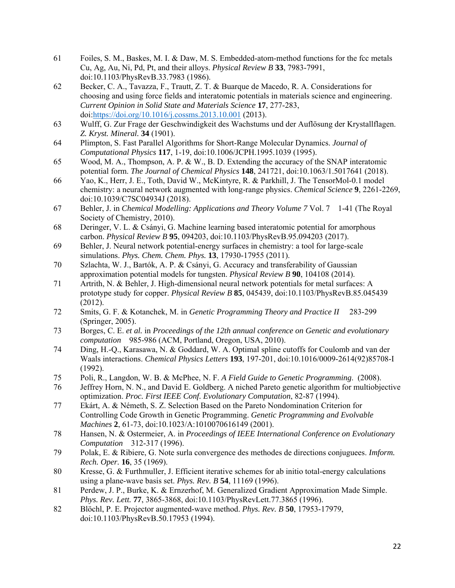- 61 Foiles, S. M., Baskes, M. I. & Daw, M. S. Embedded-atom-method functions for the fcc metals Cu, Ag, Au, Ni, Pd, Pt, and their alloys. *Physical Review B* **33**, 7983-7991, doi:10.1103/PhysRevB.33.7983 (1986).
- 62 Becker, C. A., Tavazza, F., Trautt, Z. T. & Buarque de Macedo, R. A. Considerations for choosing and using force fields and interatomic potentials in materials science and engineering. *Current Opinion in Solid State and Materials Science* **17**, 277-283, doi:https://doi.org/10.1016/j.cossms.2013.10.001 (2013).
- 63 Wulff, G. Zur Frage der Geschwindigkeit des Wachstums und der Auflösung der Krystallflagen. *Z. Kryst. Mineral.* **34** (1901).
- 64 Plimpton, S. Fast Parallel Algorithms for Short-Range Molecular Dynamics. *Journal of Computational Physics* **117**, 1-19, doi:10.1006/JCPH.1995.1039 (1995).
- 65 Wood, M. A., Thompson, A. P. & W., B. D. Extending the accuracy of the SNAP interatomic potential form. *The Journal of Chemical Physics* **148**, 241721, doi:10.1063/1.5017641 (2018).
- 66 Yao, K., Herr, J. E., Toth, David W., McKintyre, R. & Parkhill, J. The TensorMol-0.1 model chemistry: a neural network augmented with long-range physics. *Chemical Science* **9**, 2261-2269, doi:10.1039/C7SC04934J (2018).
- 67 Behler, J. in *Chemical Modelling: Applications and Theory Volume 7* Vol. 7 1-41 (The Royal Society of Chemistry, 2010).
- 68 Deringer, V. L. & Csányi, G. Machine learning based interatomic potential for amorphous carbon. *Physical Review B* **95**, 094203, doi:10.1103/PhysRevB.95.094203 (2017).
- 69 Behler, J. Neural network potential-energy surfaces in chemistry: a tool for large-scale simulations. *Phys. Chem. Chem. Phys.* **13**, 17930-17955 (2011).
- 70 Szlachta, W. J., Bartók, A. P. & Csányi, G. Accuracy and transferability of Gaussian approximation potential models for tungsten. *Physical Review B* **90**, 104108 (2014).
- 71 Artrith, N. & Behler, J. High-dimensional neural network potentials for metal surfaces: A prototype study for copper. *Physical Review B* **85**, 045439, doi:10.1103/PhysRevB.85.045439 (2012).
- 72 Smits, G. F. & Kotanchek, M. in *Genetic Programming Theory and Practice II* 283-299 (Springer, 2005).
- 73 Borges, C. E. *et al.* in *Proceedings of the 12th annual conference on Genetic and evolutionary computation* 985-986 (ACM, Portland, Oregon, USA, 2010).
- 74 Ding, H.-Q., Karasawa, N. & Goddard, W. A. Optimal spline cutoffs for Coulomb and van der Waals interactions. *Chemical Physics Letters* **193**, 197-201, doi:10.1016/0009-2614(92)85708-I (1992).
- 75 Poli, R., Langdon, W. B. & McPhee, N. F. *A Field Guide to Genetic Programming*. (2008).
- 76 Jeffrey Horn, N. N., and David E. Goldberg. A niched Pareto genetic algorithm for multiobjective optimization. *Proc. First IEEE Conf. Evolutionary Computation*, 82-87 (1994).
- 77 Ekárt, A. & Németh, S. Z. Selection Based on the Pareto Nondomination Criterion for Controlling Code Growth in Genetic Programming. *Genetic Programming and Evolvable Machines* **2**, 61-73, doi:10.1023/A:1010070616149 (2001).
- 78 Hansen, N. & Ostermeier, A. in *Proceedings of IEEE International Conference on Evolutionary Computation* 312-317 (1996).
- 79 Polak, E. & Ribiere, G. Note surla convergence des methodes de directions conjuguees. *Imform. Rech. Oper.* **16**, 35 (1969).
- 80 Kresse, G. & Furthmuller, J. Efficient iterative schemes for ab initio total-energy calculations using a plane-wave basis set. *Phys. Rev. B* **54**, 11169 (1996).
- 81 Perdew, J. P., Burke, K. & Ernzerhof, M. Generalized Gradient Approximation Made Simple. *Phys. Rev. Lett.* **77**, 3865-3868, doi:10.1103/PhysRevLett.77.3865 (1996).
- 82 Blöchl, P. E. Projector augmented-wave method. *Phys. Rev. B* **50**, 17953-17979, doi:10.1103/PhysRevB.50.17953 (1994).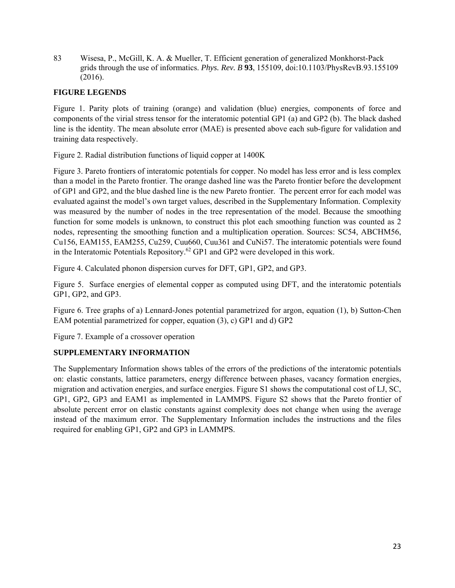83 Wisesa, P., McGill, K. A. & Mueller, T. Efficient generation of generalized Monkhorst-Pack grids through the use of informatics. *Phys. Rev. B* **93**, 155109, doi:10.1103/PhysRevB.93.155109 (2016).

# **FIGURE LEGENDS**

Figure 1. Parity plots of training (orange) and validation (blue) energies, components of force and components of the virial stress tensor for the interatomic potential GP1 (a) and GP2 (b). The black dashed line is the identity. The mean absolute error (MAE) is presented above each sub-figure for validation and training data respectively.

Figure 2. Radial distribution functions of liquid copper at 1400K

Figure 3. Pareto frontiers of interatomic potentials for copper. No model has less error and is less complex than a model in the Pareto frontier. The orange dashed line was the Pareto frontier before the development of GP1 and GP2, and the blue dashed line is the new Pareto frontier. The percent error for each model was evaluated against the model's own target values, described in the Supplementary Information. Complexity was measured by the number of nodes in the tree representation of the model. Because the smoothing function for some models is unknown, to construct this plot each smoothing function was counted as 2 nodes, representing the smoothing function and a multiplication operation. Sources: SC54, ABCHM56, Cu156, EAM155, EAM255, Cu259, Cuu660, Cuu361 and CuNi57. The interatomic potentials were found in the Interatomic Potentials Repository.<sup>62</sup> GP1 and GP2 were developed in this work.

Figure 4. Calculated phonon dispersion curves for DFT, GP1, GP2, and GP3.

Figure 5. Surface energies of elemental copper as computed using DFT, and the interatomic potentials GP1, GP2, and GP3.

Figure 6. Tree graphs of a) Lennard-Jones potential parametrized for argon, equation (1), b) Sutton-Chen EAM potential parametrized for copper, equation (3), c) GP1 and d) GP2

Figure 7. Example of a crossover operation

# **SUPPLEMENTARY INFORMATION**

The Supplementary Information shows tables of the errors of the predictions of the interatomic potentials on: elastic constants, lattice parameters, energy difference between phases, vacancy formation energies, migration and activation energies, and surface energies. Figure S1 shows the computational cost of LJ, SC, GP1, GP2, GP3 and EAM1 as implemented in LAMMPS. Figure S2 shows that the Pareto frontier of absolute percent error on elastic constants against complexity does not change when using the average instead of the maximum error. The Supplementary Information includes the instructions and the files required for enabling GP1, GP2 and GP3 in LAMMPS.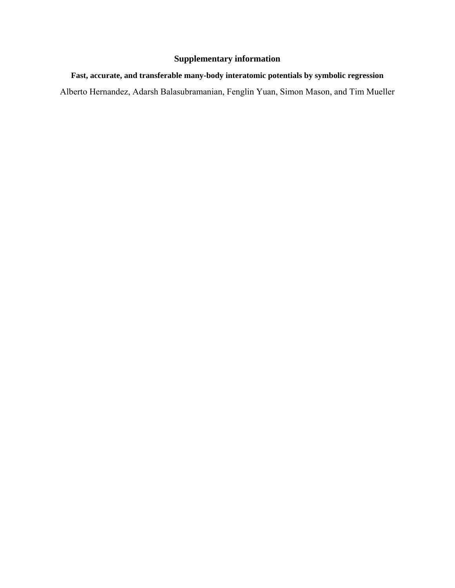# **Supplementary information**

# **Fast, accurate, and transferable many-body interatomic potentials by symbolic regression** Alberto Hernandez, Adarsh Balasubramanian, Fenglin Yuan, Simon Mason, and Tim Mueller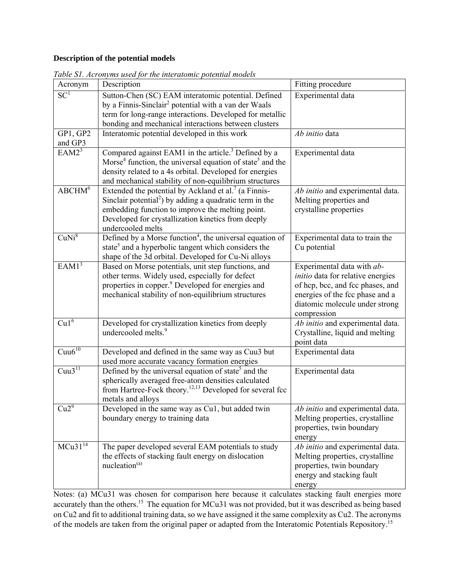# **Description of the potential models**

| Acronym                     | as as easy of the more abound polemment mode<br>Description                                                                                                                                                                                                               | Fitting procedure                                                                                                                                                                       |
|-----------------------------|---------------------------------------------------------------------------------------------------------------------------------------------------------------------------------------------------------------------------------------------------------------------------|-----------------------------------------------------------------------------------------------------------------------------------------------------------------------------------------|
| SC <sup>1</sup>             | Sutton-Chen (SC) EAM interatomic potential. Defined<br>by a Finnis-Sinclair <sup>2</sup> potential with a van der Waals<br>term for long-range interactions. Developed for metallic<br>bonding and mechanical interactions between clusters                               | Experimental data                                                                                                                                                                       |
| GP1, GP2<br>and GP3         | Interatomic potential developed in this work                                                                                                                                                                                                                              | Ab initio data                                                                                                                                                                          |
| EAM2 <sup>3</sup>           | Compared against EAM1 in the article. <sup>3</sup> Defined by a<br>Morse <sup>4</sup> function, the universal equation of state <sup>5</sup> and the<br>density related to a 4s orbital. Developed for energies<br>and mechanical stability of non-equilibrium structures | Experimental data                                                                                                                                                                       |
| $\overline{\text{ABCHM}^6}$ | Extended the potential by Ackland et al. <sup>7</sup> (a Finnis-<br>Sinclair potential <sup>2</sup> ) by adding a quadratic term in the<br>embedding function to improve the melting point.<br>Developed for crystallization kinetics from deeply<br>undercooled melts    | Ab initio and experimental data.<br>Melting properties and<br>crystalline properties                                                                                                    |
| CuNi <sup>8</sup>           | Defined by a Morse function <sup>4</sup> , the universal equation of<br>state <sup>5</sup> and a hyperbolic tangent which considers the<br>shape of the 3d orbital. Developed for Cu-Ni alloys                                                                            | Experimental data to train the<br>Cu potential                                                                                                                                          |
| EAM1 <sup>3</sup>           | Based on Morse potentials, unit step functions, and<br>other terms. Widely used, especially for defect<br>properties in copper. <sup>9</sup> Developed for energies and<br>mechanical stability of non-equilibrium structures                                             | Experimental data with ab-<br>initio data for relative energies<br>of hcp, bcc, and fcc phases, and<br>energies of the fcc phase and a<br>diatomic molecule under strong<br>compression |
| Cu1 <sup>6</sup>            | Developed for crystallization kinetics from deeply<br>undercooled melts. <sup>9</sup>                                                                                                                                                                                     | Ab initio and experimental data.<br>Crystalline, liquid and melting<br>point data                                                                                                       |
| $Cuu6^{10}$                 | Developed and defined in the same way as Cuu3 but<br>used more accurate vacancy formation energies                                                                                                                                                                        | Experimental data                                                                                                                                                                       |
| Cuu3 <sup>11</sup>          | Defined by the universal equation of state <sup>5</sup> and the<br>spherically averaged free-atom densities calculated<br>from Hartree-Fock theory. <sup>12,13</sup> Developed for several fcc<br>metals and alloys                                                       | Experimental data                                                                                                                                                                       |
| Cu2 <sup>9</sup>            | Developed in the same way as Cu1, but added twin<br>boundary energy to training data                                                                                                                                                                                      | Ab initio and experimental data.<br>Melting properties, crystalline<br>properties, twin boundary<br>energy                                                                              |
| $MCu31^{14}$                | The paper developed several EAM potentials to study<br>the effects of stacking fault energy on dislocation<br>nucleation <sup>(a)</sup>                                                                                                                                   | Ab initio and experimental data.<br>Melting properties, crystalline<br>properties, twin boundary<br>energy and stacking fault<br>energy                                                 |

*Table S1. Acronyms used for the interatomic potential models*

Notes: (a) MCu31 was chosen for comparison here because it calculates stacking fault energies more accurately than the others.<sup>15</sup> The equation for MCu31 was not provided, but it was described as being based on Cu2 and fit to additional training data, so we have assigned it the same complexity as Cu2. The acronyms of the models are taken from the original paper or adapted from the Interatomic Potentials Repository.15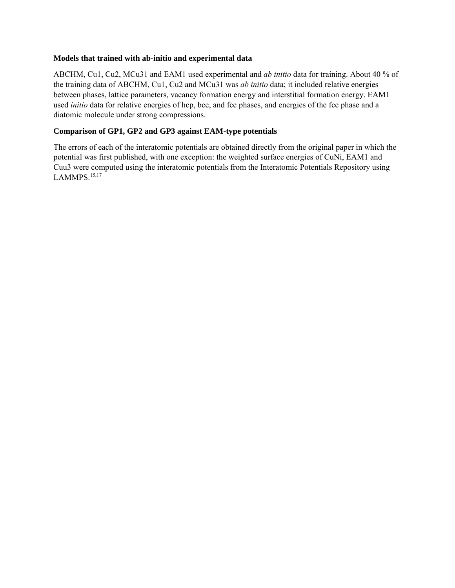#### **Models that trained with ab-initio and experimental data**

ABCHM, Cu1, Cu2, MCu31 and EAM1 used experimental and *ab initio* data for training. About 40 % of the training data of ABCHM, Cu1, Cu2 and MCu31 was *ab initio* data; it included relative energies between phases, lattice parameters, vacancy formation energy and interstitial formation energy. EAM1 used *initio* data for relative energies of hcp, bcc, and fcc phases, and energies of the fcc phase and a diatomic molecule under strong compressions.

# **Comparison of GP1, GP2 and GP3 against EAM-type potentials**

The errors of each of the interatomic potentials are obtained directly from the original paper in which the potential was first published, with one exception: the weighted surface energies of CuNi, EAM1 and Cuu3 were computed using the interatomic potentials from the Interatomic Potentials Repository using  $LAMMPS.$ <sup>15,17</sup>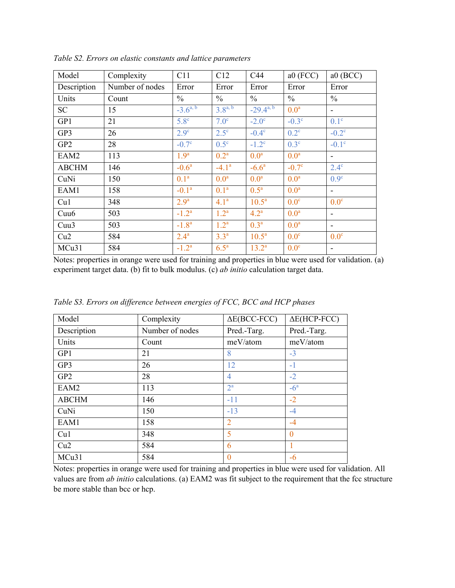| Model            | Complexity      | C11              | C12                | C <sub>44</sub>    | $a0$ (FCC)       | $a0$ (BCC)               |
|------------------|-----------------|------------------|--------------------|--------------------|------------------|--------------------------|
| Description      | Number of nodes | Error            | Error              | Error              | Error            | Error                    |
| Units            | Count           | $\frac{0}{0}$    | $\%$               | $\frac{0}{0}$      | $\%$             | $\frac{0}{0}$            |
| <b>SC</b>        | 15              | $-3.6^{a, b}$    | $3.8^{a, b}$       | $-29.4^{a, b}$     | 0.0 <sup>a</sup> | $\overline{\phantom{a}}$ |
| GP1              | 21              | $5.8^\circ$      | 7.0 <sup>c</sup>   | $-2.0^\circ$       | $-0.3c$          | 0.1 <sup>c</sup>         |
| GP3              | 26              | 2.9 <sup>c</sup> | $2.5^{\circ}$      | $-0.4^{\circ}$     | $0.2^{\circ}$    | $-0.2^{\circ}$           |
| GP <sub>2</sub>  | 28              | $-0.7^{\circ}$   | $0.5^{\circ}$      | $-1.2^{\circ}$     | 0.3 <sup>c</sup> | $-0.1^{\circ}$           |
| EAM2             | 113             | 1.9 <sup>a</sup> | $0.2^{\rm a}$      | 0.0 <sup>a</sup>   | 0.0 <sup>a</sup> | $\overline{\phantom{a}}$ |
| <b>ABCHM</b>     | 146             | $-0.6a$          | $-4.1^a$           | $-6.6a$            | $-0.7^{\circ}$   | $2.4^\circ$              |
| CuNi             | 150             | 0.1 <sup>a</sup> | 0.0 <sup>a</sup>   | 0.0 <sup>a</sup>   | 0.0 <sup>a</sup> | 0.9 <sup>c</sup>         |
| EAM1             | 158             | $-0.1a$          | 0.1 <sup>a</sup>   | $0.5^{\mathrm{a}}$ | 0.0 <sup>a</sup> | $\overline{\phantom{a}}$ |
| Cu1              | 348             | 2.9 <sup>a</sup> | 4.1 <sup>a</sup>   | $10.5^a$           | 0.0 <sup>c</sup> | 0.0 <sup>c</sup>         |
| Cuu <sub>6</sub> | 503             | $-1.2^a$         | 1.2 <sup>a</sup>   | 4.2 <sup>a</sup>   | 0.0 <sup>a</sup> | $\overline{\phantom{a}}$ |
| Cuu <sub>3</sub> | 503             | $-1.8a$          | 1.2 <sup>a</sup>   | $0.3^a$            | 0.0 <sup>a</sup> | $\overline{\phantom{a}}$ |
| Cu2              | 584             | $2.4^{\rm a}$    | $3.3^{a}$          | $10.5^a$           | 0.0 <sup>c</sup> | 0.0 <sup>c</sup>         |
| MCu31            | 584             | $-1.2^a$         | $6.5^{\mathrm{a}}$ | $13.2^{a}$         | 0.0 <sup>c</sup> | $\overline{\phantom{a}}$ |

*Table S2. Errors on elastic constants and lattice parameters* 

Notes: properties in orange were used for training and properties in blue were used for validation. (a) experiment target data. (b) fit to bulk modulus. (c) *ab initio* calculation target data.

| Model           | Complexity      | $\Delta E(BCC\text{-}FCC)$ | $\Delta E(HCP-FCC)$ |
|-----------------|-----------------|----------------------------|---------------------|
| Description     | Number of nodes | Pred.-Targ.                | Pred.-Targ.         |
| Units           | Count           | meV/atom                   | meV/atom            |
| GP1             | 21              | 8                          | $-3$                |
| GP3             | 26              | 12                         | $-1$                |
| GP <sub>2</sub> | 28              | 4                          | $-2$                |
| EAM2            | 113             | $2^{\mathrm{a}}$           | $-6a$               |
| <b>ABCHM</b>    | 146             | $-11$                      | $-2$                |
| CuNi            | 150             | $-13$                      | $-4$                |
| EAM1            | 158             | $\overline{2}$             | $-4$                |
| Cu1             | 348             | 5                          | $\mathbf{0}$        |
| Cu2             | 584             | 6                          |                     |
| MCu31           | 584             | $\bf{0}$                   | -6                  |

*Table S3. Errors on difference between energies of FCC, BCC and HCP phases* 

Notes: properties in orange were used for training and properties in blue were used for validation. All values are from *ab initio* calculations. (a) EAM2 was fit subject to the requirement that the fcc structure be more stable than bcc or hcp.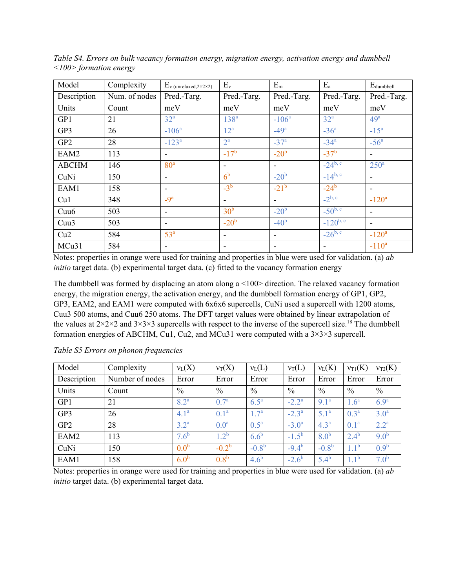| Model            | Complexity    | $E_v$ (unrelaxed, $2 \times 2 \times 2$ ) | $E_v$            | ${\rm E_m}$              | $E_a$                    | Edumbbell                |
|------------------|---------------|-------------------------------------------|------------------|--------------------------|--------------------------|--------------------------|
| Description      | Num. of nodes | Pred.-Targ.                               | Pred.-Targ.      | Pred.-Targ.              | Pred.-Targ.              | Pred.-Targ.              |
| Units            | Count         | meV                                       | meV              | meV                      | meV                      | meV                      |
| GP1              | 21            | 32 <sup>a</sup>                           | 138 <sup>a</sup> | $-106^a$                 | 32 <sup>a</sup>          | 49 <sup>a</sup>          |
| GP3              | 26            | $-106^a$                                  | 12 <sup>a</sup>  | $-49a$                   | $-36a$                   | $-15^{a}$                |
| GP <sub>2</sub>  | 28            | $-123^a$                                  | $2^{\mathrm{a}}$ | $-37a$                   | $-34$ <sup>a</sup>       | $-56a$                   |
| EAM2             | 113           | $\overline{\phantom{a}}$                  | $-17^{b}$        | $-20b$                   | $-37^{b}$                | $\overline{\phantom{a}}$ |
| <b>ABCHM</b>     | 146           | 80 <sup>a</sup>                           |                  | $\overline{\phantom{a}}$ | $-24^{b, c}$             | 250 <sup>a</sup>         |
| CuNi             | 150           | $\blacksquare$                            | 6 <sup>b</sup>   | $-20b$                   | $-14^{b, c}$             | $\overline{\phantom{a}}$ |
| EAM1             | 158           | $\overline{\phantom{a}}$                  | $-3^b$           | $-21b$                   | $-24b$                   | $\overline{\phantom{a}}$ |
| Cu1              | 348           | $-9a$                                     |                  | $\overline{\phantom{a}}$ | $-2^{b, c}$              | $-120^a$                 |
| Cuu <sub>6</sub> | 503           | -                                         | 30 <sup>b</sup>  | $-20b$                   | $-50^{b, c}$             | $\overline{\phantom{a}}$ |
| Cuu <sub>3</sub> | 503           | $\overline{\phantom{a}}$                  | $-20b$           | $-40b$                   | $-120^{b,c}$             | $\overline{\phantom{a}}$ |
| Cu2              | 584           | 53 <sup>a</sup>                           |                  | $\overline{\phantom{a}}$ | $-26^{b, c}$             | $-120^a$                 |
| MCu31            | 584           | $\overline{\phantom{a}}$                  |                  |                          | $\overline{\phantom{a}}$ | $-110^a$                 |

*Table S4. Errors on bulk vacancy formation energy, migration energy, activation energy and dumbbell <100> formation energy* 

Notes: properties in orange were used for training and properties in blue were used for validation. (a) *ab initio* target data. (b) experimental target data. (c) fitted to the vacancy formation energy

The dumbbell was formed by displacing an atom along a  $\leq 100$  direction. The relaxed vacancy formation energy, the migration energy, the activation energy, and the dumbbell formation energy of GP1, GP2, GP3, EAM2, and EAM1 were computed with 6x6x6 supercells, CuNi used a supercell with 1200 atoms, Cuu3 500 atoms, and Cuu6 250 atoms. The DFT target values were obtained by linear extrapolation of the values at  $2\times2\times2$  and  $3\times3\times3$  supercells with respect to the inverse of the supercell size.<sup>18</sup> The dumbbell formation energies of ABCHM, Cu1, Cu2, and MCu31 were computed with a  $3\times3\times3$  supercell.

Model Complexity  $v_L(X)$   $v_T(X)$   $v_T(X)$   $v_L(L)$   $v_T(L)$   $v_L(K)$   $v_{T1}(K)$   $v_{T2}(K)$ Description Number of nodes Error Error Error Error Error Error Error Error Units Count % % % % % % % GP1 21 8.2<sup>a</sup> 0.7<sup>a</sup>  $0.7^a$  6.5<sup>a</sup>  $-2.2<sup>a</sup>$  9.1<sup>a</sup>  $1.6<sup>a</sup>$  $6.9<sup>a</sup>$ GP3 26 4.1<sup>a</sup>  $0.1<sup>a</sup>$  1.7<sup>a</sup>  $-2.3^{\circ}$  $5.1<sup>a</sup>$  $0.3<sup>a</sup>$  $3.0<sup>a</sup>$ GP2 28 3.2<sup>a</sup>  $0.0<sup>a</sup>$  $0.5<sup>a</sup>$  $-3.0<sup>a</sup>$  $4.3<sup>a</sup>$  $0.1<sup>a</sup>$  $2.2^{\rm a}$ EAM2 113 7.6<sup>b</sup>  $1.2^{b}$  $6.6^{b}$  $-1.5^{b}$  $8.0<sup>b</sup>$  $2.4^{b}$  $9.0<sup>b</sup>$ CuNi 150  $0.0^b$  $-0.2<sup>b</sup>$   $-0.8<sup>b</sup>$  $-9.4^{b}$  $-0.8<sup>b</sup>$  $1.1<sup>b</sup>$  $0.9<sup>b</sup>$ EAM1 158 6.0<sup>b</sup>  $0.8<sup>b</sup>$  4.6<sup>b</sup>  $-2.6^{b}$  $5.4<sup>b</sup>$  $1.1<sup>b</sup>$  $7.0<sup>b</sup>$ 

*Table S5 Errors on phonon frequencies* 

Notes: properties in orange were used for training and properties in blue were used for validation. (a) *ab initio* target data. (b) experimental target data.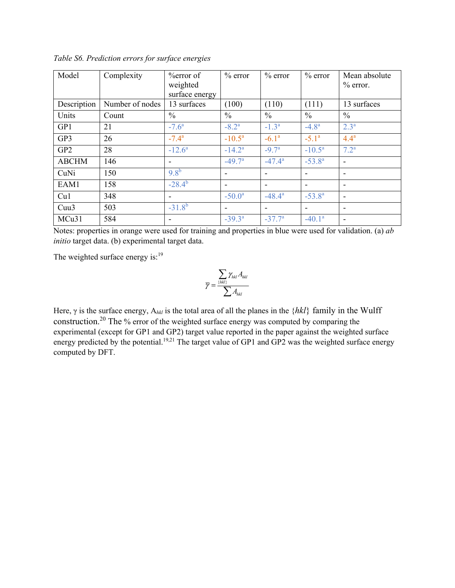| Model            | Complexity      | <b>%</b> error of<br>weighted | $%$ error      | $%$ error                | $%$ error                | Mean absolute<br>$%$ error. |
|------------------|-----------------|-------------------------------|----------------|--------------------------|--------------------------|-----------------------------|
|                  |                 | surface energy                |                |                          |                          |                             |
| Description      | Number of nodes | 13 surfaces                   | (100)          | (110)                    | (111)                    | 13 surfaces                 |
| Units            | Count           | $\frac{0}{0}$                 | $\frac{0}{0}$  | $\frac{0}{0}$            | $\frac{0}{0}$            | $\frac{0}{0}$               |
| GP1              | 21              | $-7.6a$                       | $-8.2^{\rm a}$ | $-1.3^a$                 | $-4.8a$                  | $2.3^{a}$                   |
| GP3              | 26              | $-7.4^{\rm a}$                | $-10.5^a$      | $-6.1^a$                 | $-5.1^a$                 | 4.4 <sup>a</sup>            |
| GP <sub>2</sub>  | 28              | $-12.6^a$                     | $-14.2^a$      | $-9.7a$                  | $-10.5^{\circ}$          | 7.2 <sup>a</sup>            |
| <b>ABCHM</b>     | 146             |                               | $-49.7a$       | $-47.4^{\circ}$          | $-53.8^{a}$              |                             |
| CuNi             | 150             | 9.8 <sup>b</sup>              |                |                          | $\overline{\phantom{a}}$ |                             |
| EAM1             | 158             | $-28.4^{b}$                   |                | $\overline{\phantom{a}}$ | $\overline{\phantom{a}}$ |                             |
| Cu1              | 348             |                               | $-50.0^a$      | $-48.4^a$                | $-53.8^{a}$              | $\overline{\phantom{0}}$    |
| Cuu <sub>3</sub> | 503             | $-31.8^{b}$                   |                |                          | $\overline{\phantom{a}}$ |                             |
| MCu31            | 584             |                               | $-39.3^{a}$    | $-37.7a$                 | $-40.1a$                 |                             |

*Table S6. Prediction errors for surface energies* 

Notes: properties in orange were used for training and properties in blue were used for validation. (a) *ab initio* target data. (b) experimental target data.

The weighted surface energy is:<sup>19</sup>

$$
\overline{\gamma} = \frac{\sum_{\{hkl\}} \gamma_{hkl} A_{hkl}}{\sum A_{hkl}}
$$

Here, γ is the surface energy, A*hkl* is the total area of all the planes in the {*hkl*} family in the Wulff construction.<sup>20</sup> The % error of the weighted surface energy was computed by comparing the experimental (except for GP1 and GP2) target value reported in the paper against the weighted surface energy predicted by the potential.<sup>19,21</sup> The target value of GP1 and GP2 was the weighted surface energy computed by DFT.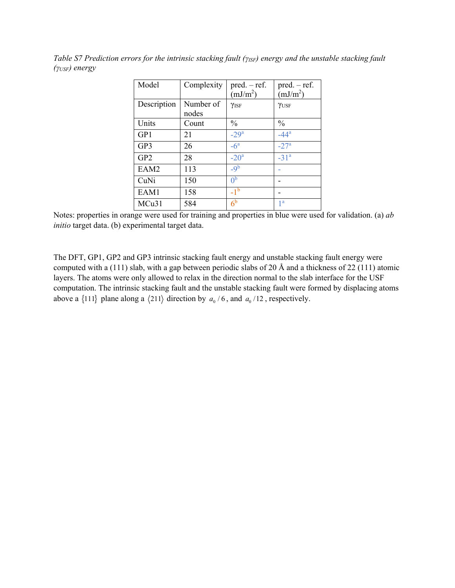*Table S7 Prediction errors for the intrinsic stacking fault (γ<sub><i>ISF*</sub>) energy and the unstable stacking fault *(γUSF) energy* 

| Model            | Complexity | $pred. - ref.$  | $pred. - ref.$       |
|------------------|------------|-----------------|----------------------|
|                  |            | $\text{mJ/m}^2$ | (mJ/m <sup>2</sup> ) |
| Description      | Number of  | <b>YISF</b>     | YUSF                 |
|                  | nodes      |                 |                      |
| Units            | Count      | $\frac{0}{0}$   | $\frac{0}{0}$        |
| GP1              | 21         | $-29a$          | $-44$ <sup>a</sup>   |
| GP3              | 26         | $-6a$           | $-27a$               |
| GP <sub>2</sub>  | 28         | $-20a$          | $-31a$               |
| EAM <sub>2</sub> | 113        | $-9b$           |                      |
| CuNi             | 150        | 0 <sup>b</sup>  |                      |
| EAM1             | 158        | $-1b$           |                      |
| MCu31            | 584        | 6 <sup>b</sup>  | 1 <sup>a</sup>       |

Notes: properties in orange were used for training and properties in blue were used for validation. (a) *ab initio* target data. (b) experimental target data.

The DFT, GP1, GP2 and GP3 intrinsic stacking fault energy and unstable stacking fault energy were computed with a (111) slab, with a gap between periodic slabs of 20 Å and a thickness of 22 (111) atomic layers. The atoms were only allowed to relax in the direction normal to the slab interface for the USF computation. The intrinsic stacking fault and the unstable stacking fault were formed by displacing atoms above a  $\{111\}$  plane along a  $\langle 211 \rangle$  direction by  $a_0 / 6$ , and  $a_0 / 12$ , respectively.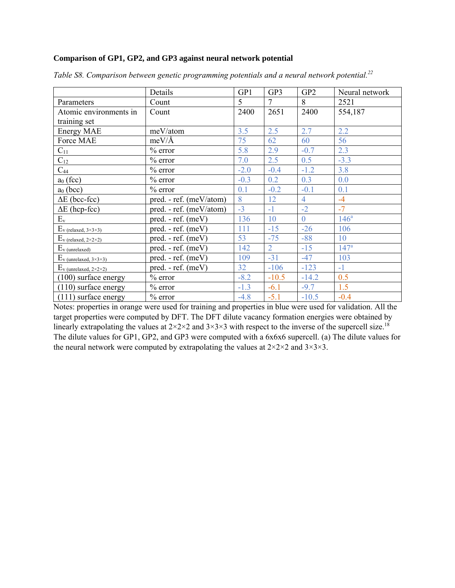#### **Comparison of GP1, GP2, and GP3 against neural network potential**

|                                                          | Details                 | GP1    | GP3            | GP <sub>2</sub> | Neural network   |
|----------------------------------------------------------|-------------------------|--------|----------------|-----------------|------------------|
| Parameters                                               | Count                   | 5      | 7              | 8               | 2521             |
| Atomic environments in                                   | Count                   | 2400   | 2651           | 2400            | 554,187          |
| training set                                             |                         |        |                |                 |                  |
| Energy MAE                                               | meV/atom                | 3.5    | 2.5            | 2.7             | 2.2              |
| Force MAE                                                | $meV/\AA$               | 75     | 62             | 60              | 56               |
| $C_{11}$                                                 | $%$ error               | 5.8    | 2.9            | $-0.7$          | 2.3              |
| $C_{12}$                                                 | $%$ error               | 7.0    | 2.5            | 0.5             | $-3.3$           |
| $C_{44}$                                                 | $%$ error               | $-2.0$ | $-0.4$         | $-1.2$          | 3.8              |
| $a_0$ (fcc)                                              | $%$ error               | $-0.3$ | 0.2            | 0.3             | 0.0              |
| $a_0$ (bcc)                                              | $%$ error               | 0.1    | $-0.2$         | $-0.1$          | 0.1              |
| $\Delta E$ (bcc-fcc)                                     | pred. - ref. (meV/atom) | 8      | 12             | $\overline{4}$  | $-4$             |
| $\Delta E$ (hcp-fcc)                                     | pred. - ref. (meV/atom) | $-3$   | $-1$           | $-2$            | $-7$             |
| $E_v$                                                    | pred. - ref. (meV)      | 136    | 10             | $\Omega$        | 146 <sup>a</sup> |
| $E_v$ (relaxed, 3×3×3)                                   | pred. - ref. (meV)      | 111    | $-15$          | $-26$           | 106              |
| $E_v$ (relaxed, 2×2×2)                                   | pred. - ref. (meV)      | 53     | $-75$          | $-88$           | 10               |
| $E_{\rm v \ (unrelaxed)}$                                | pred. - ref. (meV)      | 142    | $\overline{2}$ | $-15$           | 147 <sup>a</sup> |
| $E_{\rm v \,(unrelaxed, \, 3\times3\times3)}$            | pred. - ref. (meV)      | 109    | $-31$          | $-47$           | 103              |
| $E_{\text{y} \text{ (unrelaxed, } 2 \times 2 \times 2)}$ | pred. - ref. (meV)      | 32     | $-106$         | $-123$          | $-1$             |
| $(100)$ surface energy                                   | $%$ error               | $-8.2$ | $-10.5$        | $-14.2$         | 0.5              |
| $(110)$ surface energy                                   | $%$ error               | $-1.3$ | $-6.1$         | $-9.7$          | 1.5              |
| $(111)$ surface energy                                   | $%$ error               | $-4.8$ | $-5.1$         | $-10.5$         | $-0.4$           |

*Table S8. Comparison between genetic programming potentials and a neural network potential.22*

Notes: properties in orange were used for training and properties in blue were used for validation. All the target properties were computed by DFT. The DFT dilute vacancy formation energies were obtained by linearly extrapolating the values at  $2\times2\times2$  and  $3\times3\times3$  with respect to the inverse of the supercell size.<sup>18</sup> The dilute values for GP1, GP2, and GP3 were computed with a 6x6x6 supercell. (a) The dilute values for the neural network were computed by extrapolating the values at  $2 \times 2 \times 2$  and  $3 \times 3 \times 3$ .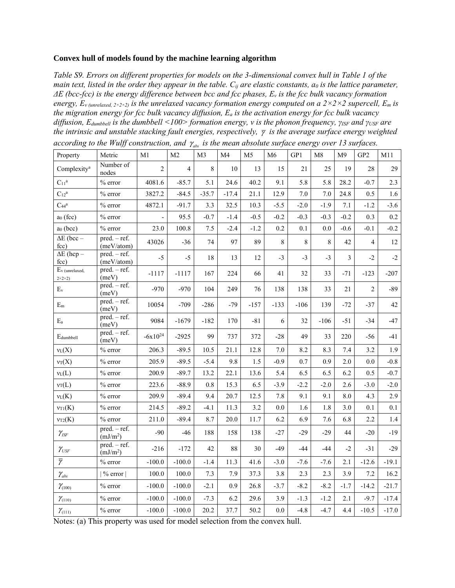#### **Convex hull of models found by the machine learning algorithm**

*Table S9. Errors on different properties for models on the 3-dimensional convex hull in Table 1 of the main text, listed in the order they appear in the table.*  $C_{ij}$  are elastic constants,  $a_0$  is the lattice parameter, *ΔE (bcc-fcc) is the energy difference between bcc and fcc phases, Ev is the fcc bulk vacancy formation energy, E<sub>v (unrelaxed, 2×2×2)* is the unrelaxed vacancy formation energy computed on a  $2 \times 2 \times 2$  supercell, E<sub>m</sub> is</sub> *the migration energy for fcc bulk vacancy diffusion, Ea is the activation energy for fcc bulk vacancy diffusion, Edumbbell is the dumbbell <100> formation energy, ν is the phonon frequency, γISF and γUSF are the intrinsic and unstable stacking fault energies, respectively,*  $\bar{\gamma}$  *is the average surface energy weighted according to the Wulff construction, and*  $\gamma_{abs}$  *is the mean absolute surface energy over 13 surfaces.* 

| Property                               | Metric                                 | M1             | M <sub>2</sub> | M3      | M <sub>4</sub> | M <sub>5</sub> | M6      | GP1     | M8     | M <sub>9</sub> | GP <sub>2</sub> | M11     |
|----------------------------------------|----------------------------------------|----------------|----------------|---------|----------------|----------------|---------|---------|--------|----------------|-----------------|---------|
| Complexity <sup>a</sup>                | Number of<br>nodes                     | $\overline{2}$ | $\overline{4}$ | 8       | 10             | 13             | 15      | 21      | 25     | 19             | 28              | 29      |
| $C_{11}^a$                             | $%$ error                              | 4081.6         | $-85.7$        | 5.1     | 24.6           | 40.2           | 9.1     | 5.8     | 5.8    | 28.2           | $-0.7$          | 2.3     |
| $C_{12}^a$                             | $%$ error                              | 3827.2         | $-84.5$        | $-35.7$ | $-17.4$        | 21.1           | 12.9    | 7.0     | 7.0    | 24.8           | 0.5             | 1.6     |
| $C_{44}^{\text{a}}$                    | $%$ error                              | 4872.1         | $-91.7$        | 3.3     | 32.5           | 10.3           | $-5.5$  | $-2.0$  | $-1.9$ | 7.1            | $-1.2$          | $-3.6$  |
| a <sub>0</sub> (fcc)                   | $%$ error                              |                | 95.5           | $-0.7$  | $-1.4$         | $-0.5$         | $-0.2$  | $-0.3$  | $-0.3$ | $-0.2$         | 0.3             | 0.2     |
| $a_0$ (bcc)                            | $%$ error                              | 23.0           | 100.8          | 7.5     | $-2.4$         | $-1.2$         | 0.2     | 0.1     | 0.0    | $-0.6$         | $-0.1$          | $-0.2$  |
| $\Delta E$ (bcc –<br>fcc)              | $pred. - ref.$<br>(meV/atom)           | 43026          | $-36$          | 74      | 97             | 89             | $\,8\,$ | $\,8\,$ | 8      | 42             | $\overline{4}$  | 12      |
| $\overline{\Delta E}$ (hcp –<br>fcc)   | $pred. - ref.$<br>(meV/atom)           | $-5$           | $-5$           | 18      | 13             | 12             | $-3$    | $-3$    | $-3$   | 3              | $-2$            | $-2$    |
| $E_v$ (unrelaxed,<br>$2\times2\times2$ | $pred. - ref.$<br>(meV)                | $-1117$        | $-1117$        | 167     | 224            | 66             | 41      | 32      | 33     | $-71$          | $-123$          | $-207$  |
| $E_v$                                  | $pred. - ref.$<br>(meV)                | $-970$         | $-970$         | 104     | 249            | 76             | 138     | 138     | 33     | 21             | $\overline{2}$  | $-89$   |
| $E_m$                                  | $pred. - ref.$<br>(meV)                | 10054          | $-709$         | $-286$  | $-79$          | $-157$         | $-133$  | $-106$  | 139    | $-72$          | $-37$           | 42      |
| $\mathbf{E}_{\text{a}}$                | $pred. - ref.$<br>(meV)                | 9084           | $-1679$        | $-182$  | 170            | $-81$          | 6       | 32      | $-106$ | $-51$          | $-34$           | $-47$   |
| $E$ dumbbell                           | $pred. - ref.$<br>(meV)                | $-6x10^{24}$   | $-2925$        | 99      | 737            | 372            | $-28$   | 49      | 33     | 220            | -56             | $-41$   |
| $v_L(X)$                               | $%$ error                              | 206.3          | $-89.5$        | 10.5    | 21.1           | 12.8           | 7.0     | 8.2     | 8.3    | 7.4            | 3.2             | 1.9     |
| $v_T(X)$                               | $%$ error                              | 205.9          | $-89.5$        | $-5.4$  | 9.8            | 1.5            | $-0.9$  | 0.7     | 0.9    | 2.0            | 0.0             | $-0.8$  |
| $v_L(L)$                               | $%$ error                              | 200.9          | $-89.7$        | 13.2    | 22.1           | 13.6           | 5.4     | 6.5     | 6.5    | 6.2            | 0.5             | $-0.7$  |
| $v_T(L)$                               | $%$ error                              | 223.6          | $-88.9$        | 0.8     | 15.3           | 6.5            | $-3.9$  | $-2.2$  | $-2.0$ | 2.6            | $-3.0$          | $-2.0$  |
| $v_L(K)$                               | $%$ error                              | 209.9          | $-89.4$        | 9.4     | 20.7           | 12.5           | 7.8     | 9.1     | 9.1    | 8.0            | 4.3             | 2.9     |
| $v_{T1}(K)$                            | $%$ error                              | 214.5          | $-89.2$        | $-4.1$  | 11.3           | 3.2            | 0.0     | 1.6     | 1.8    | 3.0            | 0.1             | 0.1     |
| $v_{T2}(K)$                            | $%$ error                              | 211.0          | $-89.4$        | 8.7     | 20.0           | 11.7           | 6.2     | 6.9     | 7.6    | 6.8            | 2.2             | 1.4     |
| $\gamma_{\scriptscriptstyle ISF}$      | $pred. - ref.$<br>(mJ/m <sup>2</sup> ) | $-90$          | -46            | 188     | 158            | 138            | $-27$   | $-29$   | $-29$  | 44             | $-20$           | $-19$   |
| $\gamma_{\rm \scriptscriptstyle USF}$  | $pred. - ref.$<br>(mJ/m <sup>2</sup> ) | $-216$         | $-172$         | 42      | 88             | 30             | -49     | $-44$   | $-44$  | $-2$           | $-31$           | $-29$   |
| $\overline{\gamma}$                    | $%$ error                              | $-100.0$       | $-100.0$       | $-1.4$  | 11.3           | 41.6           | $-3.0$  | $-7.6$  | $-7.6$ | 2.1            | $-12.6$         | $-19.1$ |
| $\gamma_{\rm abs}$                     | $%$ error                              | 100.0          | 100.0          | 7.3     | 7.9            | 37.3           | 3.8     | 2.3     | 2.3    | 3.9            | 7.2             | 16.2    |
| $\gamma_{(100)}$                       | $%$ error                              | $-100.0$       | $-100.0$       | $-2.1$  | 0.9            | 26.8           | $-3.7$  | $-8.2$  | $-8.2$ | $-1.7$         | $-14.2$         | $-21.7$ |
| $\gamma_{(110)}$                       | $%$ error                              | $-100.0$       | $-100.0$       | $-7.3$  | 6.2            | 29.6           | 3.9     | $-1.3$  | $-1.2$ | 2.1            | $-9.7$          | $-17.4$ |
| $\gamma_{(111)}$                       | $%$ error                              | $-100.0$       | $-100.0$       | 20.2    | 37.7           | 50.2           | 0.0     | $-4.8$  | $-4.7$ | 4.4            | $-10.5$         | $-17.0$ |

Notes: (a) This property was used for model selection from the convex hull.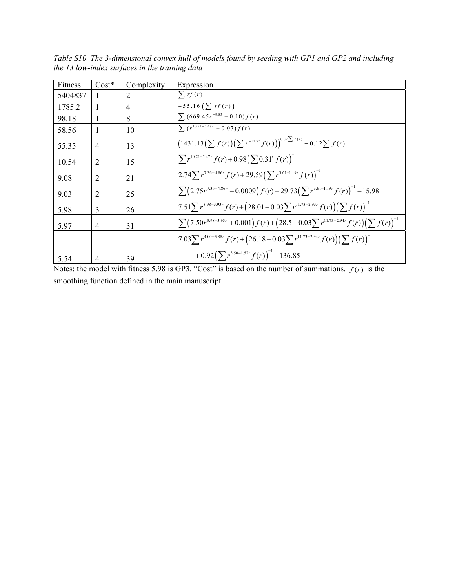| Fitness | $Cost*$        | Complexity | Expression                                                                                           |
|---------|----------------|------------|------------------------------------------------------------------------------------------------------|
| 5404837 |                | 2          | $\sum rf(r)$                                                                                         |
| 1785.2  |                | 4          | $-55.16(\sum rf(r))^{-1}$                                                                            |
| 98.18   |                | 8          | $\sum (669.45r^{-9.83} - 0.10) f(r)$                                                                 |
| 58.56   |                | 10         | $\sum (r^{10.21-5.48r} - 0.07) f(r)$                                                                 |
| 55.35   | 4              | 13         | $(1431.13(\sum f(r))(\sum r^{-12.95}f(r)))^{0.02\sum f(r)} - 0.12\sum f(r)$                          |
| 10.54   | $\overline{2}$ | 15         | $\sum r^{10.21-5.47r} f(r) + 0.98 \left( \sum 0.31^r f(r) \right)^{-1}$                              |
| 9.08    | 2              | 21         | $2.74\sum r^{7.36-4.86r} f(r) + 29.59 \left(\sum r^{3.61-1.19r} f(r)\right)^{-1}$                    |
| 9.03    | 2              | 25         | $\sum (2.75r^{7.36-4.86r} - 0.0009) f(r) + 29.73 \left(\sum r^{3.61-1.19r} f(r)\right)^{-1} - 15.98$ |
| 5.98    | 3              | 26         | 7.51 $\sum r^{3.98-3.93r} f(r) + (28.01-0.03 \sum r^{11.73-2.93r} f(r)) (\sum f(r))^{1}$             |
| 5.97    | 4              | 31         | $\sum (7.50r^{3.98-3.93r}+0.001) f(r)+(28.5-0.03\sum r^{11.73-2.94r} f(r))(\sum f(r))^{-1}$          |
|         |                |            | 7.03 $\sum r^{4.00-3.88r} f(r) + (26.18-0.03 \sum r^{11.73-2.94r} f(r)) (\sum f(r))^{1}$             |
| 5.54    | 4              | 39         | $+0.92\left(\sum_{r=3.50-1.52r}f(r)\right)^{-1}-136.85$                                              |

*Table S10. The 3-dimensional convex hull of models found by seeding with GP1 and GP2 and including the 13 low-index surfaces in the training data*

Notes: the model with fitness 5.98 is GP3. "Cost" is based on the number of summations.  $f(r)$  is the smoothing function defined in the main manuscript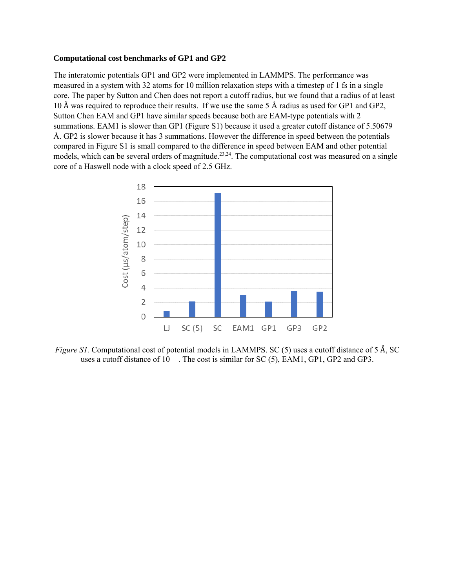#### **Computational cost benchmarks of GP1 and GP2**

The interatomic potentials GP1 and GP2 were implemented in LAMMPS. The performance was measured in a system with 32 atoms for 10 million relaxation steps with a timestep of 1 fs in a single core. The paper by Sutton and Chen does not report a cutoff radius, but we found that a radius of at least 10 Å was required to reproduce their results. If we use the same 5 Å radius as used for GP1 and GP2, Sutton Chen EAM and GP1 have similar speeds because both are EAM-type potentials with 2 summations. EAM1 is slower than GP1 (Figure S1) because it used a greater cutoff distance of 5.50679 Å. GP2 is slower because it has 3 summations. However the difference in speed between the potentials compared in Figure S1 is small compared to the difference in speed between EAM and other potential models, which can be several orders of magnitude.<sup>23,24</sup>. The computational cost was measured on a single core of a Haswell node with a clock speed of 2.5 GHz.



*Figure S1.* Computational cost of potential models in LAMMPS. SC (5) uses a cutoff distance of 5 Å, SC uses a cutoff distance of 10 . The cost is similar for SC (5), EAM1, GP1, GP2 and GP3.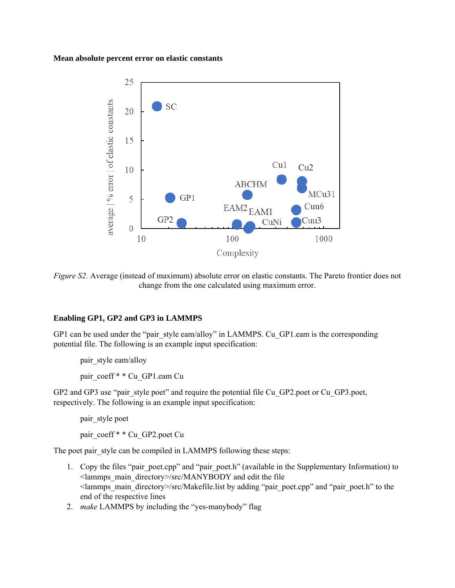#### **Mean absolute percent error on elastic constants**



*Figure S2.* Average (instead of maximum) absolute error on elastic constants. The Pareto frontier does not change from the one calculated using maximum error.

### **Enabling GP1, GP2 and GP3 in LAMMPS**

GP1 can be used under the "pair style eam/alloy" in LAMMPS. Cu GP1.eam is the corresponding potential file. The following is an example input specification:

pair style eam/alloy

pair\_coeff \* \* Cu\_GP1.eam Cu

GP2 and GP3 use "pair style poet" and require the potential file Cu GP2.poet or Cu GP3.poet, respectively. The following is an example input specification:

pair\_style poet

pair\_coeff \* \* Cu\_GP2.poet Cu

The poet pair style can be compiled in LAMMPS following these steps:

- 1. Copy the files "pair poet.cpp" and "pair poet.h" (available in the Supplementary Information) to <lammps\_main\_directory>/src/MANYBODY and edit the file <lammps\_main\_directory>/src/Makefile.list by adding "pair\_poet.cpp" and "pair\_poet.h" to the end of the respective lines
- 2. *make* LAMMPS by including the "yes-manybody" flag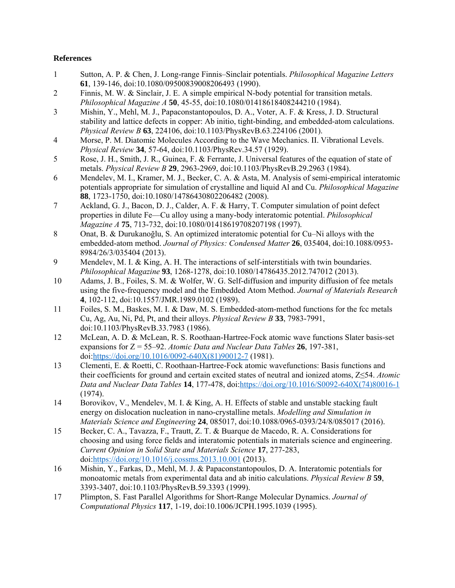## **References**

- 1 Sutton, A. P. & Chen, J. Long-range Finnis–Sinclair potentials. *Philosophical Magazine Letters* **61**, 139-146, doi:10.1080/09500839008206493 (1990).
- 2 Finnis, M. W. & Sinclair, J. E. A simple empirical N-body potential for transition metals. *Philosophical Magazine A* **50**, 45-55, doi:10.1080/01418618408244210 (1984).
- 3 Mishin, Y., Mehl, M. J., Papaconstantopoulos, D. A., Voter, A. F. & Kress, J. D. Structural stability and lattice defects in copper: Ab initio, tight-binding, and embedded-atom calculations. *Physical Review B* **63**, 224106, doi:10.1103/PhysRevB.63.224106 (2001).
- 4 Morse, P. M. Diatomic Molecules According to the Wave Mechanics. II. Vibrational Levels. *Physical Review* **34**, 57-64, doi:10.1103/PhysRev.34.57 (1929).
- 5 Rose, J. H., Smith, J. R., Guinea, F. & Ferrante, J. Universal features of the equation of state of metals. *Physical Review B* **29**, 2963-2969, doi:10.1103/PhysRevB.29.2963 (1984).
- 6 Mendelev, M. I., Kramer, M. J., Becker, C. A. & Asta, M. Analysis of semi-empirical interatomic potentials appropriate for simulation of crystalline and liquid Al and Cu. *Philosophical Magazine* **88**, 1723-1750, doi:10.1080/14786430802206482 (2008).
- 7 Ackland, G. J., Bacon, D. J., Calder, A. F. & Harry, T. Computer simulation of point defect properties in dilute Fe—Cu alloy using a many-body interatomic potential. *Philosophical Magazine A* **75**, 713-732, doi:10.1080/01418619708207198 (1997).
- 8 Onat, B. & Durukanoğlu, S. An optimized interatomic potential for Cu–Ni alloys with the embedded-atom method. *Journal of Physics: Condensed Matter* **26**, 035404, doi:10.1088/0953- 8984/26/3/035404 (2013).
- 9 Mendelev, M. I. & King, A. H. The interactions of self-interstitials with twin boundaries. *Philosophical Magazine* **93**, 1268-1278, doi:10.1080/14786435.2012.747012 (2013).
- 10 Adams, J. B., Foiles, S. M. & Wolfer, W. G. Self-diffusion and impurity diffusion of fee metals using the five-frequency model and the Embedded Atom Method. *Journal of Materials Research* **4**, 102-112, doi:10.1557/JMR.1989.0102 (1989).
- 11 Foiles, S. M., Baskes, M. I. & Daw, M. S. Embedded-atom-method functions for the fcc metals Cu, Ag, Au, Ni, Pd, Pt, and their alloys. *Physical Review B* **33**, 7983-7991, doi:10.1103/PhysRevB.33.7983 (1986).
- 12 McLean, A. D. & McLean, R. S. Roothaan-Hartree-Fock atomic wave functions Slater basis-set expansions for Z = 55–92. *Atomic Data and Nuclear Data Tables* **26**, 197-381, doi:https://doi.org/10.1016/0092-640X(81)90012-7 (1981).
- 13 Clementi, E. & Roetti, C. Roothaan-Hartree-Fock atomic wavefunctions: Basis functions and their coefficients for ground and certain excited states of neutral and ionized atoms, Z≤54. *Atomic Data and Nuclear Data Tables* **14**, 177-478, doi:https://doi.org/10.1016/S0092-640X(74)80016-1 (1974).
- 14 Borovikov, V., Mendelev, M. I. & King, A. H. Effects of stable and unstable stacking fault energy on dislocation nucleation in nano-crystalline metals. *Modelling and Simulation in Materials Science and Engineering* **24**, 085017, doi:10.1088/0965-0393/24/8/085017 (2016).
- 15 Becker, C. A., Tavazza, F., Trautt, Z. T. & Buarque de Macedo, R. A. Considerations for choosing and using force fields and interatomic potentials in materials science and engineering. *Current Opinion in Solid State and Materials Science* **17**, 277-283, doi:https://doi.org/10.1016/j.cossms.2013.10.001 (2013).
- 16 Mishin, Y., Farkas, D., Mehl, M. J. & Papaconstantopoulos, D. A. Interatomic potentials for monoatomic metals from experimental data and ab initio calculations. *Physical Review B* **59**, 3393-3407, doi:10.1103/PhysRevB.59.3393 (1999).
- 17 Plimpton, S. Fast Parallel Algorithms for Short-Range Molecular Dynamics. *Journal of Computational Physics* **117**, 1-19, doi:10.1006/JCPH.1995.1039 (1995).